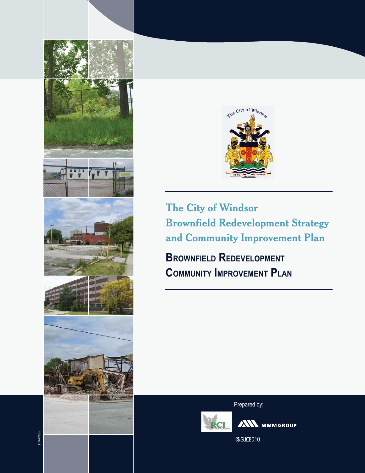

The City of Windsor **Brownfield Redevelopment Strategy** and Community Improvement Plan

**BROWNFIELD REDEVELOPMENT COMMUNITY IMPROVEMENT PLAN** 

Prepared by:



**ANN** MMM GROUP

5df] 2010

D14-09057

W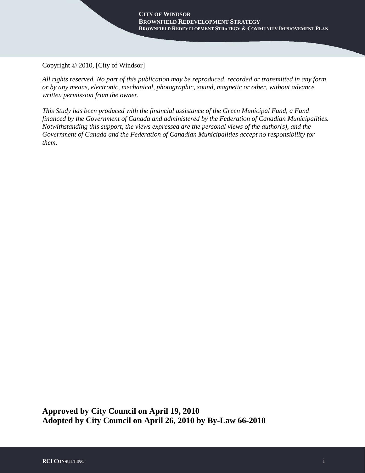Copyright © 2010, [City of Windsor]

*All rights reserved. No part of this publication may be reproduced, recorded or transmitted in any form or by any means, electronic, mechanical, photographic, sound, magnetic or other, without advance written permission from the owner.* 

*This Study has been produced with the financial assistance of the Green Municipal Fund, a Fund financed by the Government of Canada and administered by the Federation of Canadian Municipalities. Notwithstanding this support, the views expressed are the personal views of the author(s), and the Government of Canada and the Federation of Canadian Municipalities accept no responsibility for them*.

**Approved by City Council on April 19, 2010 Adopted by City Council on April 26, 2010 by By-Law 66-2010**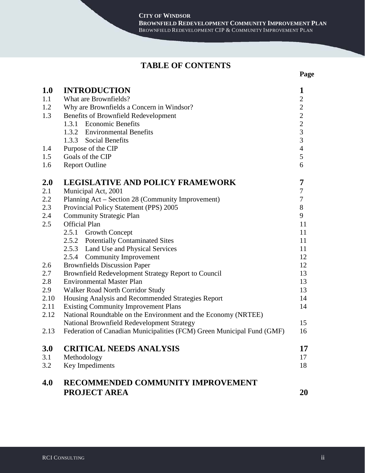**Page**

### **TABLE OF CONTENTS**

| <b>1.0</b> | <b>INTRODUCTION</b>                                                    | 1              |  |  |  |
|------------|------------------------------------------------------------------------|----------------|--|--|--|
| 1.1        | What are Brownfields?                                                  |                |  |  |  |
| 1.2        | Why are Brownfields a Concern in Windsor?                              |                |  |  |  |
| 1.3        | Benefits of Brownfield Redevelopment                                   |                |  |  |  |
|            | 1.3.1 Economic Benefits                                                | $\overline{2}$ |  |  |  |
|            | 1.3.2 Environmental Benefits                                           | $\frac{2}{3}$  |  |  |  |
|            | 1.3.3 Social Benefits                                                  | $\overline{3}$ |  |  |  |
| 1.4        | Purpose of the CIP                                                     | $\overline{4}$ |  |  |  |
| 1.5        | Goals of the CIP                                                       |                |  |  |  |
| 1.6        | <b>Report Outline</b>                                                  |                |  |  |  |
| 2.0        | <b>LEGISLATIVE AND POLICY FRAMEWORK</b>                                | 7              |  |  |  |
| 2.1        | Municipal Act, 2001                                                    | $\tau$         |  |  |  |
| 2.2        | Planning Act – Section 28 (Community Improvement)                      | $\tau$         |  |  |  |
| 2.3        | Provincial Policy Statement (PPS) 2005                                 | 8              |  |  |  |
| 2.4        | <b>Community Strategic Plan</b>                                        | 9              |  |  |  |
| 2.5        | <b>Official Plan</b>                                                   | 11             |  |  |  |
|            | 2.5.1 Growth Concept                                                   | 11             |  |  |  |
|            | 2.5.2 Potentially Contaminated Sites                                   | 11             |  |  |  |
|            | 2.5.3 Land Use and Physical Services                                   | 11             |  |  |  |
|            | 2.5.4 Community Improvement                                            | 12             |  |  |  |
| 2.6        | <b>Brownfields Discussion Paper</b>                                    | 12             |  |  |  |
| 2.7        | Brownfield Redevelopment Strategy Report to Council                    | 13             |  |  |  |
| 2.8        | <b>Environmental Master Plan</b>                                       | 13             |  |  |  |
| 2.9        | Walker Road North Corridor Study                                       | 13             |  |  |  |
| 2.10       | Housing Analysis and Recommended Strategies Report                     | 14             |  |  |  |
| 2.11       | <b>Existing Community Improvement Plans</b>                            | 14             |  |  |  |
| 2.12       | National Roundtable on the Environment and the Economy (NRTEE)         |                |  |  |  |
|            | National Brownfield Redevelopment Strategy                             | 15             |  |  |  |
| 2.13       | Federation of Canadian Municipalities (FCM) Green Municipal Fund (GMF) | 16             |  |  |  |
| 3.0        | <b>CRITICAL NEEDS ANALYSIS</b>                                         | 17             |  |  |  |
| 3.1        | Methodology                                                            | 17             |  |  |  |
| 3.2        | Key Impediments                                                        | 18             |  |  |  |
| 4.0        | RECOMMENDED COMMUNITY IMPROVEMENT                                      |                |  |  |  |
|            | PROJECT AREA                                                           | 20             |  |  |  |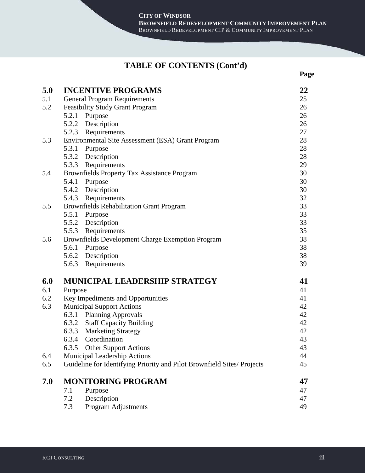**Page**

### **TABLE OF CONTENTS (Cont'd)**

| 5.0 | <b>INCENTIVE PROGRAMS</b>                                               | 22       |
|-----|-------------------------------------------------------------------------|----------|
| 5.1 | <b>General Program Requirements</b>                                     |          |
| 5.2 | <b>Feasibility Study Grant Program</b>                                  | 25<br>26 |
|     | 5.2.1<br>Purpose                                                        | 26       |
|     | 5.2.2 Description                                                       | 26       |
|     | 5.2.3 Requirements                                                      | 27       |
| 5.3 | Environmental Site Assessment (ESA) Grant Program                       | 28       |
|     | 5.3.1<br>Purpose                                                        | 28       |
|     | 5.3.2 Description                                                       | 28       |
|     | 5.3.3 Requirements                                                      | 29       |
| 5.4 | Brownfields Property Tax Assistance Program                             | 30       |
|     | 5.4.1<br>Purpose                                                        | 30       |
|     | 5.4.2 Description                                                       | 30       |
|     | 5.4.3 Requirements                                                      | 32       |
| 5.5 | <b>Brownfields Rehabilitation Grant Program</b>                         | 33       |
|     | 5.5.1 Purpose                                                           | 33       |
|     | 5.5.2 Description                                                       | 33       |
|     | Requirements<br>5.5.3                                                   | 35       |
| 5.6 | Brownfields Development Charge Exemption Program                        | 38       |
|     | Purpose<br>5.6.1                                                        | 38       |
|     | 5.6.2 Description                                                       | 38       |
|     | 5.6.3 Requirements                                                      | 39       |
| 6.0 | <b>MUNICIPAL LEADERSHIP STRATEGY</b>                                    | 41       |
| 6.1 | Purpose                                                                 | 41       |
| 6.2 | Key Impediments and Opportunities                                       | 41       |
| 6.3 | <b>Municipal Support Actions</b>                                        | 42       |
|     | 6.3.1 Planning Approvals                                                | 42       |
|     | 6.3.2 Staff Capacity Building                                           | 42       |
|     | 6.3.3 Marketing Strategy                                                | 42       |
|     | 6.3.4 Coordination                                                      | 43       |
|     | 6.3.5 Other Support Actions                                             | 43       |
| 6.4 | Municipal Leadership Actions                                            | 44       |
| 6.5 | Guideline for Identifying Priority and Pilot Brownfield Sites/ Projects | 45       |
| 7.0 | <b>MONITORING PROGRAM</b>                                               | 47       |
|     | 7.1<br>Purpose                                                          | 47       |
|     | Description<br>7.2                                                      | 47       |
|     | 7.3<br>Program Adjustments                                              | 49       |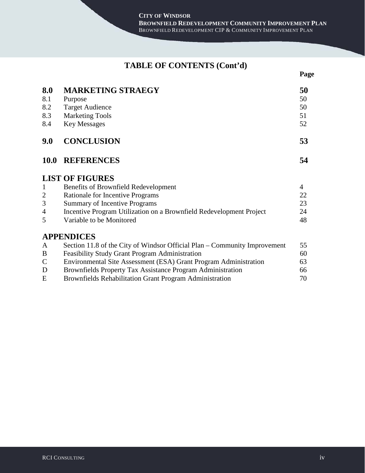# **TABLE OF CONTENTS (Cont'd)**

**Page**

| 8.0<br>8.1<br>8.2<br>8.3<br>8.4 | <b>MARKETING STRAEGY</b><br>Purpose<br><b>Target Audience</b><br><b>Marketing Tools</b><br><b>Key Messages</b> | 50<br>50<br>50<br>51<br>52 |
|---------------------------------|----------------------------------------------------------------------------------------------------------------|----------------------------|
| 9.0                             | <b>CONCLUSION</b>                                                                                              | 53                         |
| <b>10.0</b>                     | <b>REFERENCES</b>                                                                                              | 54                         |
|                                 | <b>LIST OF FIGURES</b>                                                                                         |                            |
| $\mathbf{1}$                    | <b>Benefits of Brownfield Redevelopment</b>                                                                    | $\overline{4}$             |
| $\overline{2}$                  | Rationale for Incentive Programs                                                                               | 22                         |
| 3                               | <b>Summary of Incentive Programs</b>                                                                           | 23                         |
| 4                               | Incentive Program Utilization on a Brownfield Redevelopment Project                                            | 24                         |
| 5                               | Variable to be Monitored                                                                                       | 48                         |
|                                 | <b>APPENDICES</b>                                                                                              |                            |
| A                               | Section 11.8 of the City of Windsor Official Plan – Community Improvement                                      | 55                         |
| $\bf{B}$                        | <b>Feasibility Study Grant Program Administration</b>                                                          | 60                         |
| $\mathsf{C}$                    | Environmental Site Assessment (ESA) Grant Program Administration                                               | 63                         |
| D                               | Brownfields Property Tax Assistance Program Administration                                                     | 66                         |
| E                               | <b>Brownfields Rehabilitation Grant Program Administration</b>                                                 | 70                         |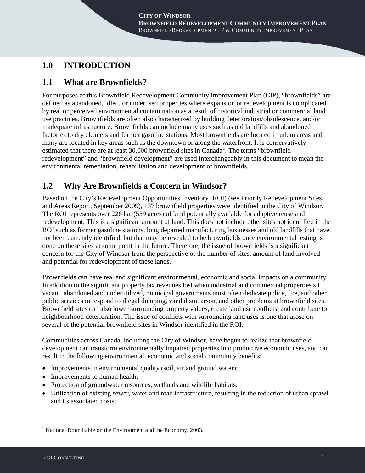## **1.0 INTRODUCTION**

## **1.1 What are Brownfields?**

For purposes of this Brownfield Redevelopment Community Improvement Plan (CIP), "brownfields" are defined as abandoned, idled, or underused properties where expansion or redevelopment is complicated by real or perceived environmental contamination as a result of historical industrial or commercial land use practices. Brownfields are often also characterized by building deterioration/obsolescence, and/or inadequate infrastructure. Brownfields can include many uses such as old landfills and abandoned factories to dry cleaners and former gasoline stations. Most brownfields are located in urban areas and many are located in key areas such as the downtown or along the waterfront. It is conservatively estimated that there are at least  $30,000$  brownfield sites in Canada<sup>[1](#page-5-0)</sup>. The terms "brownfield redevelopment" and "brownfield development" are used interchangeably in this document to mean the environmental remediation, rehabilitation and development of brownfields.

## **1.2 Why Are Brownfields a Concern in Windsor?**

Based on the City's Redevelopment Opportunities Inventory (ROI) (see Priority Redevelopment Sites and Areas Report, September 2009), 137 brownfield properties were identified in the City of Windsor. The ROI represents over 226 ha. (559 acres) of land potentially available for adaptive reuse and redevelopment. This is a significant amount of land. This does not include other sites not identified in the ROI such as former gasoline stations, long departed manufacturing businesses and old landfills that have not been currently identified, but that may be revealed to be brownfields once environmental testing is done on these sites at some point in the future. Therefore, the issue of brownfields is a significant concern for the City of Windsor from the perspective of the number of sites, amount of land involved and potential for redevelopment of these lands.

Brownfields can have real and significant environmental, economic and social impacts on a community. In addition to the significant property tax revenues lost when industrial and commercial properties sit vacant, abandoned and underutilized, municipal governments must often dedicate police, fire, and other public services to respond to illegal dumping, vandalism, arson, and other problems at brownfield sites. Brownfield sites can also lower surrounding property values, create land use conflicts, and contribute to neighbourhood deterioration. The issue of conflicts with surrounding land uses is one that arose on several of the potential brownfield sites in Windsor identified in the ROI.

Communities across Canada, including the City of Windsor, have begun to realize that brownfield development can transform environmentally impaired properties into productive economic uses, and can result in the following environmental, economic and social community benefits:

- Improvements in environmental quality (soil, air and ground water);
- Improvements to human health;
- Protection of groundwater resources, wetlands and wildlife habitats;
- Utilization of existing sewer, water and road infrastructure, resulting in the reduction of urban sprawl and its associated costs;

-

<span id="page-5-0"></span><sup>&</sup>lt;sup>1</sup> National Roundtable on the Environment and the Economy, 2003.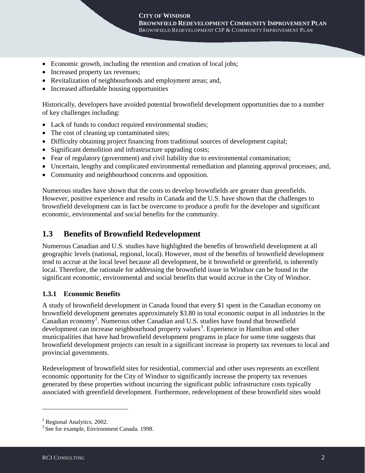- Economic growth, including the retention and creation of local jobs;
- Increased property tax revenues;
- Revitalization of neighbourhoods and employment areas; and,
- Increased affordable housing opportunities

Historically, developers have avoided potential brownfield development opportunities due to a number of key challenges including:

- Lack of funds to conduct required environmental studies;
- The cost of cleaning up contaminated sites;
- Difficulty obtaining project financing from traditional sources of development capital;
- Significant demolition and infrastructure upgrading costs;
- Fear of regulatory (government) and civil liability due to environmental contamination;
- Uncertain, lengthy and complicated environmental remediation and planning approval processes; and,
- Community and neighbourhood concerns and opposition.

Numerous studies have shown that the costs to develop brownfields are greater than greenfields. However, positive experience and results in Canada and the U.S. have shown that the challenges to brownfield development can in fact be overcome to produce a profit for the developer and significant economic, environmental and social benefits for the community.

### **1.3 Benefits of Brownfield Redevelopment**

Numerous Canadian and U.S. studies have highlighted the benefits of brownfield development at all geographic levels (national, regional, local). However, most of the benefits of brownfield development tend to accrue at the local level because all development, be it brownfield or greenfield, is inherently local. Therefore, the rationale for addressing the brownfield issue in Windsor can be found in the significant economic, environmental and social benefits that would accrue in the City of Windsor.

#### **1.3.1 Economic Benefits**

A study of brownfield development in Canada found that every \$1 spent in the Canadian economy on brownfield development generates approximately \$3.80 in total economic output in all industries in the Canadian economy<sup>[2](#page-6-0)</sup>. Numerous other Canadian and U.S. studies have found that brownfield development can increase neighbourhood property values<sup>[3](#page-6-1)</sup>. Experience in Hamilton and other municipalities that have had brownfield development programs in place for some time suggests that brownfield development projects can result in a significant increase in property tax revenues to local and provincial governments.

Redevelopment of brownfield sites for residential, commercial and other uses represents an excellent economic opportunity for the City of Windsor to significantly increase the property tax revenues generated by these properties without incurring the significant public infrastructure costs typically associated with greenfield development. Furthermore, redevelopment of these brownfield sites would

-

<span id="page-6-0"></span><sup>2</sup> Regional Analytics. 2002.

<span id="page-6-1"></span><sup>&</sup>lt;sup>3</sup> See for example, Environment Canada. 1998.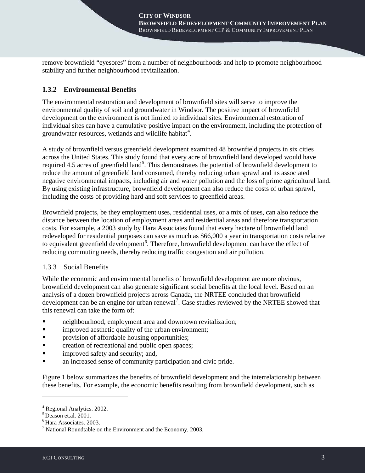remove brownfield "eyesores" from a number of neighbourhoods and help to promote neighbourhood stability and further neighbourhood revitalization.

### **1.3.2 Environmental Benefits**

The environmental restoration and development of brownfield sites will serve to improve the environmental quality of soil and groundwater in Windsor. The positive impact of brownfield development on the environment is not limited to individual sites. Environmental restoration of individual sites can have a cumulative positive impact on the environment, including the protection of groundwater resources, wetlands and wildlife habitat<sup>[4](#page-7-0)</sup>.

A study of brownfield versus greenfield development examined 48 brownfield projects in six cities across the United States. This study found that every acre of brownfield land developed would have required 4.[5](#page-7-1) acres of greenfield land<sup>5</sup>. This demonstrates the potential of brownfield development to reduce the amount of greenfield land consumed, thereby reducing urban sprawl and its associated negative environmental impacts, including air and water pollution and the loss of prime agricultural land. By using existing infrastructure, brownfield development can also reduce the costs of urban sprawl, including the costs of providing hard and soft services to greenfield areas.

Brownfield projects, be they employment uses, residential uses, or a mix of uses, can also reduce the distance between the location of employment areas and residential areas and therefore transportation costs. For example, a 2003 study by Hara Associates found that every hectare of brownfield land redeveloped for residential purposes can save as much as \$66,000 a year in transportation costs relative to equivalent greenfield development<sup>[6](#page-7-2)</sup>. Therefore, brownfield development can have the effect of reducing commuting needs, thereby reducing traffic congestion and air pollution.

#### 1.3.3 Social Benefits

While the economic and environmental benefits of brownfield development are more obvious, brownfield development can also generate significant social benefits at the local level. Based on an analysis of a dozen brownfield projects across Canada, the NRTEE concluded that brownfield development can be an engine for urban renewal<sup>[7](#page-7-3)</sup>. Case studies reviewed by the NRTEE showed that this renewal can take the form of:

- neighbourhood, employment area and downtown revitalization;
- **improved aesthetic quality of the urban environment;**
- **Parameler** provision of affordable housing opportunities;
- **•** creation of recreational and public open spaces;
- improved safety and security; and,
- an increased sense of community participation and civic pride.

Figure 1 below summarizes the benefits of brownfield development and the interrelationship between these benefits. For example, the economic benefits resulting from brownfield development, such as

<u>.</u>

<sup>4</sup> Regional Analytics. 2002.

<span id="page-7-1"></span><span id="page-7-0"></span> $5$  Deason et.al. 2001.

<span id="page-7-2"></span><sup>6</sup> Hara Associates. 2003.

<span id="page-7-3"></span> $<sup>7</sup>$  National Roundtable on the Environment and the Economy, 2003.</sup>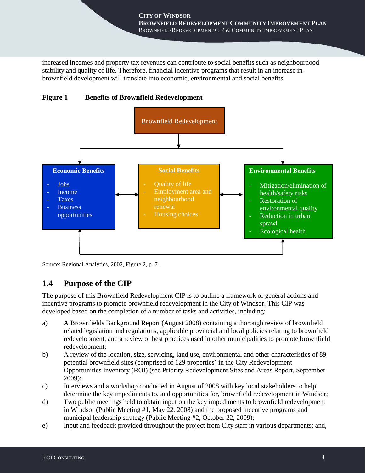increased incomes and property tax revenues can contribute to social benefits such as neighbourhood stability and quality of life. Therefore, financial incentive programs that result in an increase in brownfield development will translate into economic, environmental and social benefits.



**Figure 1 Benefits of Brownfield Redevelopment** 

Source: Regional Analytics, 2002, Figure 2, p. 7.

### **1.4 Purpose of the CIP**

The purpose of this Brownfield Redevelopment CIP is to outline a framework of general actions and incentive programs to promote brownfield redevelopment in the City of Windsor. This CIP was developed based on the completion of a number of tasks and activities, including:

- a) A Brownfields Background Report (August 2008) containing a thorough review of brownfield related legislation and regulations, applicable provincial and local policies relating to brownfield redevelopment, and a review of best practices used in other municipalities to promote brownfield redevelopment;
- b) A review of the location, size, servicing, land use, environmental and other characteristics of 89 potential brownfield sites (comprised of 129 properties) in the City Redevelopment Opportunities Inventory (ROI) (see Priority Redevelopment Sites and Areas Report, September 2009);
- c) Interviews and a workshop conducted in August of 2008 with key local stakeholders to help determine the key impediments to, and opportunities for, brownfield redevelopment in Windsor;
- d) Two public meetings held to obtain input on the key impediments to brownfield redevelopment in Windsor (Public Meeting #1, May 22, 2008) and the proposed incentive programs and municipal leadership strategy (Public Meeting #2, October 22, 2009);
- e) Input and feedback provided throughout the project from City staff in various departments; and,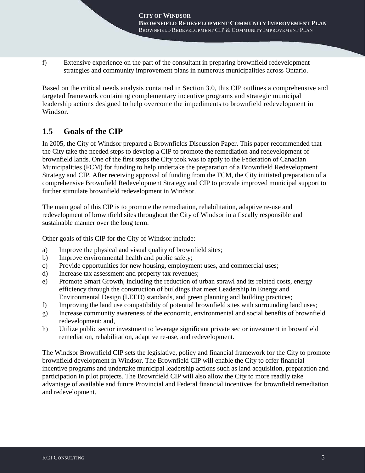f) Extensive experience on the part of the consultant in preparing brownfield redevelopment strategies and community improvement plans in numerous municipalities across Ontario.

Based on the critical needs analysis contained in Section 3.0, this CIP outlines a comprehensive and targeted framework containing complementary incentive programs and strategic municipal leadership actions designed to help overcome the impediments to brownfield redevelopment in Windsor.

### **1.5 Goals of the CIP**

In 2005, the City of Windsor prepared a Brownfields Discussion Paper. This paper recommended that the City take the needed steps to develop a CIP to promote the remediation and redevelopment of brownfield lands. One of the first steps the City took was to apply to the Federation of Canadian Municipalities (FCM) for funding to help undertake the preparation of a Brownfield Redevelopment Strategy and CIP. After receiving approval of funding from the FCM, the City initiated preparation of a comprehensive Brownfield Redevelopment Strategy and CIP to provide improved municipal support to further stimulate brownfield redevelopment in Windsor.

The main goal of this CIP is to promote the remediation, rehabilitation, adaptive re-use and redevelopment of brownfield sites throughout the City of Windsor in a fiscally responsible and sustainable manner over the long term.

Other goals of this CIP for the City of Windsor include:

- a) Improve the physical and visual quality of brownfield sites;
- b) Improve environmental health and public safety;
- c) Provide opportunities for new housing, employment uses, and commercial uses;
- d) Increase tax assessment and property tax revenues;
- e) Promote Smart Growth, including the reduction of urban sprawl and its related costs, energy efficiency through the construction of buildings that meet Leadership in Energy and Environmental Design (LEED) standards, and green planning and building practices;
- f) Improving the land use compatibility of potential brownfield sites with surrounding land uses;
- g) Increase community awareness of the economic, environmental and social benefits of brownfield redevelopment; and,
- h) Utilize public sector investment to leverage significant private sector investment in brownfield remediation, rehabilitation, adaptive re-use, and redevelopment.

The Windsor Brownfield CIP sets the legislative, policy and financial framework for the City to promote brownfield development in Windsor. The Brownfield CIP will enable the City to offer financial incentive programs and undertake municipal leadership actions such as land acquisition, preparation and participation in pilot projects. The Brownfield CIP will also allow the City to more readily take advantage of available and future Provincial and Federal financial incentives for brownfield remediation and redevelopment.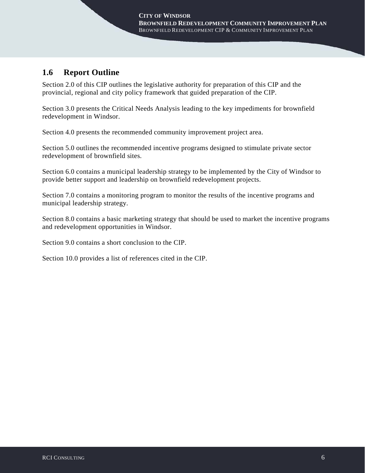## **1.6 Report Outline**

Section 2.0 of this CIP outlines the legislative authority for preparation of this CIP and the provincial, regional and city policy framework that guided preparation of the CIP.

Section 3.0 presents the Critical Needs Analysis leading to the key impediments for brownfield redevelopment in Windsor.

Section 4.0 presents the recommended community improvement project area.

Section 5.0 outlines the recommended incentive programs designed to stimulate private sector redevelopment of brownfield sites.

Section 6.0 contains a municipal leadership strategy to be implemented by the City of Windsor to provide better support and leadership on brownfield redevelopment projects.

Section 7.0 contains a monitoring program to monitor the results of the incentive programs and municipal leadership strategy.

Section 8.0 contains a basic marketing strategy that should be used to market the incentive programs and redevelopment opportunities in Windsor.

Section 9.0 contains a short conclusion to the CIP.

Section 10.0 provides a list of references cited in the CIP.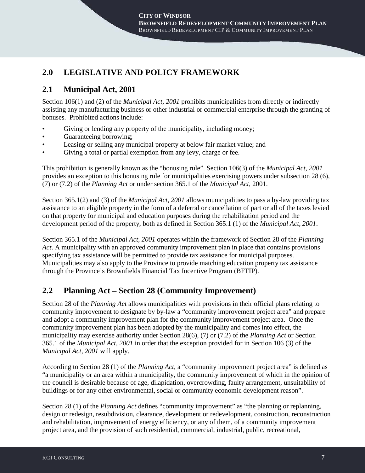## **2.0 LEGISLATIVE AND POLICY FRAMEWORK**

## **2.1 Municipal Act, 2001**

Section 106(1) and (2) of the *Municipal Act, 2001* prohibits municipalities from directly or indirectly assisting any manufacturing business or other industrial or commercial enterprise through the granting of bonuses. Prohibited actions include:

- Giving or lending any property of the municipality, including money;
- Guaranteeing borrowing:
- Leasing or selling any municipal property at below fair market value; and
- Giving a total or partial exemption from any levy, charge or fee.

This prohibition is generally known as the "bonusing rule". Section 106(3) of the *Municipal Act, 2001* provides an exception to this bonusing rule for municipalities exercising powers under subsection 28 (6), (7) or (7.2) of the *Planning Act* or under section 365.1 of the *Municipal Act,* 2001.

Section 365.1(2) and (3) of the *Municipal Act, 2001* allows municipalities to pass a by-law providing tax assistance to an eligible property in the form of a deferral or cancellation of part or all of the taxes levied on that property for municipal and education purposes during the rehabilitation period and the development period of the property, both as defined in Section 365.1 (1) of the *Municipal Act, 2001*.

Section 365.1 of the *Municipal Act, 2001* operates within the framework of Section 28 of the *Planning Act*. A municipality with an approved community improvement plan in place that contains provisions specifying tax assistance will be permitted to provide tax assistance for municipal purposes. Municipalities may also apply to the Province to provide matching education property tax assistance through the Province's Brownfields Financial Tax Incentive Program (BFTIP).

## **2.2 Planning Act – Section 28 (Community Improvement)**

Section 28 of the *Planning Act* allows municipalities with provisions in their official plans relating to community improvement to designate by by-law a "community improvement project area" and prepare and adopt a community improvement plan for the community improvement project area. Once the community improvement plan has been adopted by the municipality and comes into effect, the municipality may exercise authority under Section 28(6), (7) or (7.2) of the *Planning Act* or Section 365.1 of the *Municipal Act, 2001* in order that the exception provided for in Section 106 (3) of the *Municipal Act, 2001* will apply.

According to Section 28 (1) of the *Planning Act*, a "community improvement project area" is defined as "a municipality or an area within a municipality, the community improvement of which in the opinion of the council is desirable because of age, dilapidation, overcrowding, faulty arrangement, unsuitability of buildings or for any other environmental, social or community economic development reason".

Section 28 (1) of the *Planning Act* defines "community improvement" as "the planning or replanning, design or redesign, resubdivision, clearance, development or redevelopment, construction, reconstruction and rehabilitation, improvement of energy efficiency, or any of them, of a community improvement project area, and the provision of such residential, commercial, industrial, public, recreational,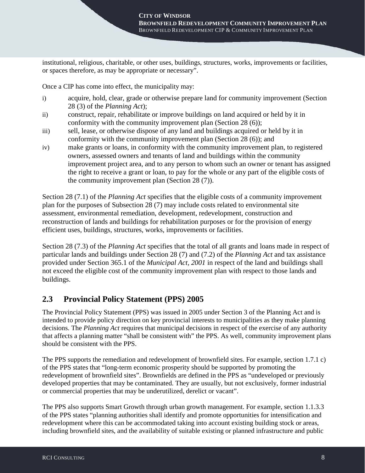institutional, religious, charitable, or other uses, buildings, structures, works, improvements or facilities, or spaces therefore, as may be appropriate or necessary".

Once a CIP has come into effect, the municipality may:

- i) acquire, hold, clear, grade or otherwise prepare land for community improvement (Section 28 (3) of the *Planning Act*);
- ii) construct, repair, rehabilitate or improve buildings on land acquired or held by it in conformity with the community improvement plan (Section 28 (6));
- iii) sell, lease, or otherwise dispose of any land and buildings acquired or held by it in conformity with the community improvement plan (Section 28 (6)); and
- iv) make grants or loans, in conformity with the community improvement plan, to registered owners, assessed owners and tenants of land and buildings within the community improvement project area, and to any person to whom such an owner or tenant has assigned the right to receive a grant or loan, to pay for the whole or any part of the eligible costs of the community improvement plan (Section 28 (7)).

Section 28 (7.1) of the *Planning Act* specifies that the eligible costs of a community improvement plan for the purposes of Subsection 28 (7) may include costs related to environmental site assessment, environmental remediation, development, redevelopment, construction and reconstruction of lands and buildings for rehabilitation purposes or for the provision of energy efficient uses, buildings, structures, works, improvements or facilities.

Section 28 (7.3) of the *Planning Act* specifies that the total of all grants and loans made in respect of particular lands and buildings under Section 28 (7) and (7.2) of the *Planning Act* and tax assistance provided under Section 365.1 of the *Municipal Act, 2001* in respect of the land and buildings shall not exceed the eligible cost of the community improvement plan with respect to those lands and buildings.

## **2.3 Provincial Policy Statement (PPS) 2005**

The Provincial Policy Statement (PPS) was issued in 2005 under Section 3 of the Planning Act and is intended to provide policy direction on key provincial interests to municipalities as they make planning decisions. The *Planning Act* requires that municipal decisions in respect of the exercise of any authority that affects a planning matter "shall be consistent with" the PPS. As well, community improvement plans should be consistent with the PPS.

The PPS supports the remediation and redevelopment of brownfield sites. For example, section 1.7.1 c) of the PPS states that "long-term economic prosperity should be supported by promoting the redevelopment of brownfield sites". Brownfields are defined in the PPS as "undeveloped or previously developed properties that may be contaminated. They are usually, but not exclusively, former industrial or commercial properties that may be underutilized, derelict or vacant".

The PPS also supports Smart Growth through urban growth management. For example, section 1.1.3.3 of the PPS states "planning authorities shall identify and promote opportunities for intensification and redevelopment where this can be accommodated taking into account existing building stock or areas, including brownfield sites, and the availability of suitable existing or planned infrastructure and public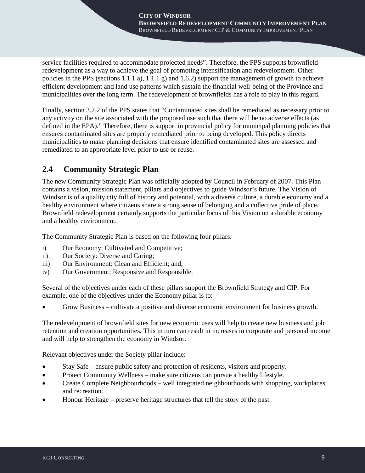service facilities required to accommodate projected needs". Therefore, the PPS supports brownfield redevelopment as a way to achieve the goal of promoting intensification and redevelopment. Other policies in the PPS (sections 1.1.1 a), 1.1.1 g) and 1.6.2) support the management of growth to achieve efficient development and land use patterns which sustain the financial well-being of the Province and municipalities over the long term. The redevelopment of brownfields has a role to play in this regard.

Finally, section 3.2.2 of the PPS states that "Contaminated sites shall be remediated as necessary prior to any activity on the site associated with the proposed use such that there will be no adverse effects (as defined in the EPA)." Therefore, there is support in provincial policy for municipal planning policies that ensures contaminated sites are properly remediated prior to being developed. This policy directs municipalities to make planning decisions that ensure identified contaminated sites are assessed and remediated to an appropriate level prior to use or reuse.

## **2.4 Community Strategic Plan**

The new Community Strategic Plan was officially adopted by Council in February of 2007. This Plan contains a vision, mission statement, pillars and objectives to guide Windsor's future. The Vision of Windsor is of a quality city full of history and potential, with a diverse culture, a durable economy and a healthy environment where citizens share a strong sense of belonging and a collective pride of place. Brownfield redevelopment certainly supports the particular focus of this Vision on a durable economy and a healthy environment.

The Community Strategic Plan is based on the following four pillars:

- i) Our Economy: Cultivated and Competitive;
- ii) Our Society: Diverse and Caring;
- iii) Our Environment: Clean and Efficient; and,
- iv) Our Government: Responsive and Responsible.

Several of the objectives under each of these pillars support the Brownfield Strategy and CIP. For example, one of the objectives under the Economy pillar is to:

• Grow Business – cultivate a positive and diverse economic environment for business growth.

The redevelopment of brownfield sites for new economic uses will help to create new business and job retention and creation opportunities. This in turn can result in increases in corporate and personal income and will help to strengthen the economy in Windsor.

Relevant objectives under the Society pillar include:

- Stay Safe ensure public safety and protection of residents, visitors and property.
- Protect Community Wellness make sure citizens can pursue a healthy lifestyle.
- Create Complete Neighbourhoods well integrated neighbourhoods with shopping, workplaces, and recreation.
- Honour Heritage preserve heritage structures that tell the story of the past.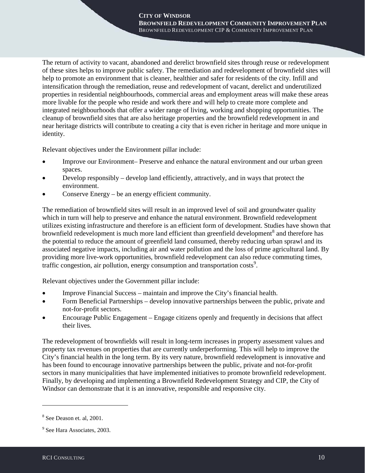The return of activity to vacant, abandoned and derelict brownfield sites through reuse or redevelopment of these sites helps to improve public safety. The remediation and redevelopment of brownfield sites will help to promote an environment that is cleaner, healthier and safer for residents of the city. Infill and intensification through the remediation, reuse and redevelopment of vacant, derelict and underutilized properties in residential neighbourhoods, commercial areas and employment areas will make these areas more livable for the people who reside and work there and will help to create more complete and integrated neighbourhoods that offer a wider range of living, working and shopping opportunities. The cleanup of brownfield sites that are also heritage properties and the brownfield redevelopment in and near heritage districts will contribute to creating a city that is even richer in heritage and more unique in identity.

Relevant objectives under the Environment pillar include:

- Improve our Environment– Preserve and enhance the natural environment and our urban green spaces.
- Develop responsibly develop land efficiently, attractively, and in ways that protect the environment.
- Conserve Energy be an energy efficient community.

The remediation of brownfield sites will result in an improved level of soil and groundwater quality which in turn will help to preserve and enhance the natural environment. Brownfield redevelopment utilizes existing infrastructure and therefore is an efficient form of development. Studies have shown that brownfield redevelopment is much more land efficient than greenfield development<sup>[8](#page-14-0)</sup> and therefore has the potential to reduce the amount of greenfield land consumed, thereby reducing urban sprawl and its associated negative impacts, including air and water pollution and the loss of prime agricultural land. By providing more live-work opportunities, brownfield redevelopment can also reduce commuting times, traffic congestion, air pollution, energy consumption and transportation  $costs<sup>9</sup>$  $costs<sup>9</sup>$  $costs<sup>9</sup>$ .

Relevant objectives under the Government pillar include:

- Improve Financial Success maintain and improve the City's financial health.
- Form Beneficial Partnerships develop innovative partnerships between the public, private and not-for-profit sectors.
- Encourage Public Engagement Engage citizens openly and frequently in decisions that affect their lives.

The redevelopment of brownfields will result in long-term increases in property assessment values and property tax revenues on properties that are currently underperforming. This will help to improve the City's financial health in the long term. By its very nature, brownfield redevelopment is innovative and has been found to encourage innovative partnerships between the public, private and not-for-profit sectors in many municipalities that have implemented initiatives to promote brownfield redevelopment. Finally, by developing and implementing a Brownfield Redevelopment Strategy and CIP, the City of Windsor can demonstrate that it is an innovative, responsible and responsive city.

<u>.</u>

<span id="page-14-0"></span><sup>8</sup> See Deason et. al, 2001.

<span id="page-14-1"></span><sup>9</sup> See Hara Associates, 2003.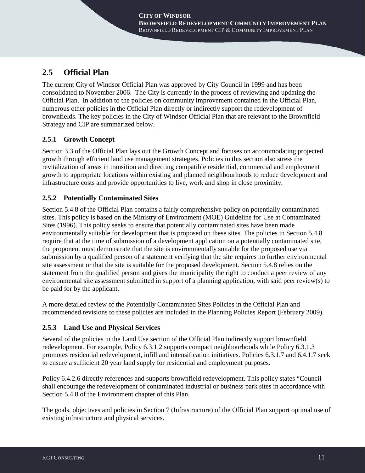## **2.5 Official Plan**

The current City of Windsor Official Plan was approved by City Council in 1999 and has been consolidated to November 2006. The City is currently in the process of reviewing and updating the Official Plan. In addition to the policies on community improvement contained in the Official Plan, numerous other policies in the Official Plan directly or indirectly support the redevelopment of brownfields. The key policies in the City of Windsor Official Plan that are relevant to the Brownfield Strategy and CIP are summarized below.

### **2.5.1 Growth Concept**

Section 3.3 of the Official Plan lays out the Growth Concept and focuses on accommodating projected growth through efficient land use management strategies. Policies in this section also stress the revitalization of areas in transition and directing compatible residential, commercial and employment growth to appropriate locations within existing and planned neighbourhoods to reduce development and infrastructure costs and provide opportunities to live, work and shop in close proximity.

### **2.5.2 Potentially Contaminated Sites**

Section 5.4.8 of the Official Plan contains a fairly comprehensive policy on potentially contaminated sites. This policy is based on the Ministry of Environment (MOE) Guideline for Use at Contaminated Sites (1996). This policy seeks to ensure that potentially contaminated sites have been made environmentally suitable for development that is proposed on these sites. The policies in Section 5.4.8 require that at the time of submission of a development application on a potentially contaminated site, the proponent must demonstrate that the site is environmentally suitable for the proposed use via submission by a qualified person of a statement verifying that the site requires no further environmental site assessment or that the site is suitable for the proposed development. Section 5.4.8 relies on the statement from the qualified person and gives the municipality the right to conduct a peer review of any environmental site assessment submitted in support of a planning application, with said peer review(s) to be paid for by the applicant.

A more detailed review of the Potentially Contaminated Sites Policies in the Official Plan and recommended revisions to these policies are included in the Planning Policies Report (February 2009).

#### **2.5.3 Land Use and Physical Services**

Several of the policies in the Land Use section of the Official Plan indirectly support brownfield redevelopment. For example, Policy 6.3.1.2 supports compact neighbourhoods while Policy 6.3.1.3 promotes residential redevelopment, infill and intensification initiatives. Policies 6.3.1.7 and 6.4.1.7 seek to ensure a sufficient 20 year land supply for residential and employment purposes.

Policy 6.4.2.6 directly references and supports brownfield redevelopment. This policy states "Council shall encourage the redevelopment of contaminated industrial or business park sites in accordance with Section 5.4.8 of the Environment chapter of this Plan.

The goals, objectives and policies in Section 7 (Infrastructure) of the Official Plan support optimal use of existing infrastructure and physical services.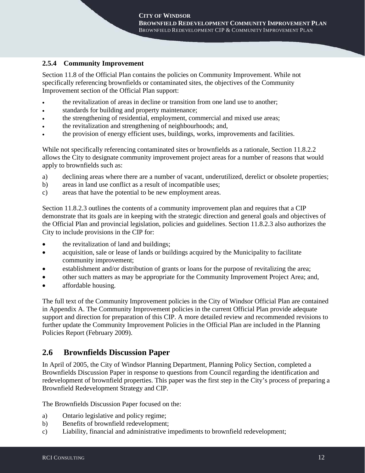#### **2.5.4 Community Improvement**

Section 11.8 of the Official Plan contains the policies on Community Improvement. While not specifically referencing brownfields or contaminated sites, the objectives of the Community Improvement section of the Official Plan support:

- the revitalization of areas in decline or transition from one land use to another;
- standards for building and property maintenance;
- the strengthening of residential, employment, commercial and mixed use areas;
- the revitalization and strengthening of neighbourhoods; and,
- the provision of energy efficient uses, buildings, works, improvements and facilities.

While not specifically referencing contaminated sites or brownfields as a rationale, Section 11.8.2.2 allows the City to designate community improvement project areas for a number of reasons that would apply to brownfields such as:

- a) declining areas where there are a number of vacant, underutilized, derelict or obsolete properties;
- b) areas in land use conflict as a result of incompatible uses;
- c) areas that have the potential to be new employment areas.

Section 11.8.2.3 outlines the contents of a community improvement plan and requires that a CIP demonstrate that its goals are in keeping with the strategic direction and general goals and objectives of the Official Plan and provincial legislation, policies and guidelines. Section 11.8.2.3 also authorizes the City to include provisions in the CIP for:

- the revitalization of land and buildings;
- acquisition, sale or lease of lands or buildings acquired by the Municipality to facilitate community improvement;
- establishment and/or distribution of grants or loans for the purpose of revitalizing the area;
- other such matters as may be appropriate for the Community Improvement Project Area; and,
- affordable housing.

The full text of the Community Improvement policies in the City of Windsor Official Plan are contained in Appendix A. The Community Improvement policies in the current Official Plan provide adequate support and direction for preparation of this CIP. A more detailed review and recommended revisions to further update the Community Improvement Policies in the Official Plan are included in the Planning Policies Report (February 2009).

### **2.6 Brownfields Discussion Paper**

In April of 2005, the City of Windsor Planning Department, Planning Policy Section, completed a Brownfields Discussion Paper in response to questions from Council regarding the identification and redevelopment of brownfield properties. This paper was the first step in the City's process of preparing a Brownfield Redevelopment Strategy and CIP.

The Brownfields Discussion Paper focused on the:

- a) Ontario legislative and policy regime;
- b) Benefits of brownfield redevelopment;
- c) Liability, financial and administrative impediments to brownfield redevelopment;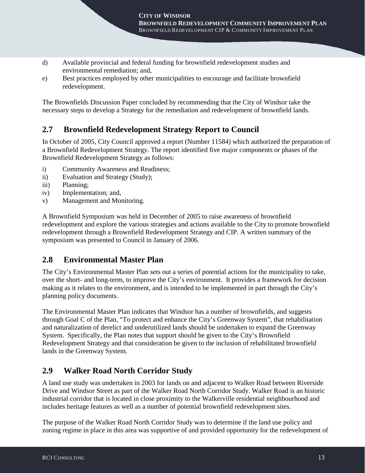- d) Available provincial and federal funding for brownfield redevelopment studies and environmental remediation; and,
- e) Best practices employed by other municipalities to encourage and facilitate brownfield redevelopment.

The Brownfields Discussion Paper concluded by recommending that the City of Windsor take the necessary steps to develop a Strategy for the remediation and redevelopment of brownfield lands.

## **2.7 Brownfield Redevelopment Strategy Report to Council**

In October of 2005, City Council approved a report (Number 11584) which authorized the preparation of a Brownfield Redevelopment Strategy. The report identified five major components or phases of the Brownfield Redevelopment Strategy as follows:

- i) Community Awareness and Readiness;
- ii) Evaluation and Strategy (Study);
- iii) Planning;
- iv) Implementation; and,
- v) Management and Monitoring.

A Brownfield Symposium was held in December of 2005 to raise awareness of brownfield redevelopment and explore the various strategies and actions available to the City to promote brownfield redevelopment through a Brownfield Redevelopment Strategy and CIP. A written summary of the symposium was presented to Council in January of 2006.

### **2.8 Environmental Master Plan**

The City's Environmental Master Plan sets out a series of potential actions for the municipality to take, over the short- and long-term, to improve the City's environment. It provides a framework for decision making as it relates to the environment, and is intended to be implemented in part through the City's planning policy documents.

The Environmental Master Plan indicates that Windsor has a number of brownfields, and suggests through Goal C of the Plan, "To protect and enhance the City's Greenway System", that rehabilitation and naturalization of derelict and underutilized lands should be undertaken to expand the Greenway System. Specifically, the Plan notes that support should be given to the City's Brownfield Redevelopment Strategy and that consideration be given to the inclusion of rehabilitated brownfield lands in the Greenway System.

### **2.9 Walker Road North Corridor Study**

A land use study was undertaken in 2003 for lands on and adjacent to Walker Road between Riverside Drive and Windsor Street as part of the Walker Road North Corridor Study. Walker Road is an historic industrial corridor that is located in close proximity to the Walkerville residential neighbourhood and includes heritage features as well as a number of potential brownfield redevelopment sites.

The purpose of the Walker Road North Corridor Study was to determine if the land use policy and zoning regime in place in this area was supportive of and provided opportunity for the redevelopment of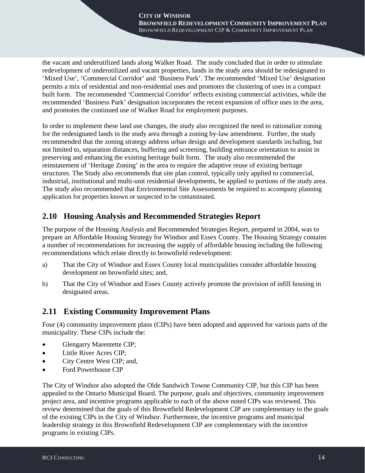the vacant and underutilized lands along Walker Road. The study concluded that in order to stimulate redevelopment of underutilized and vacant properties, lands in the study area should be redesignated to 'Mixed Use', 'Commercial Corridor' and 'Business Park'. The recommended 'Mixed Use' designation permits a mix of residential and non-residential uses and promotes the clustering of uses in a compact built form. The recommended 'Commercial Corridor' reflects existing commercial activities, while the recommended 'Business Park' designation incorporates the recent expansion of office uses in the area, and promotes the continued use of Walker Road for employment purposes.

In order to implement these land use changes, the study also recognized the need to rationalize zoning for the redesignated lands in the study area through a zoning by-law amendment. Further, the study recommended that the zoning strategy address urban design and development standards including, but not limited to, separation distances, buffering and screening, building entrance orientation to assist in preserving and enhancing the existing heritage built form. The study also recommended the reinstatement of 'Heritage Zoning' in the area to require the adaptive reuse of existing heritage structures. The Study also recommends that site plan control, typically only applied to commercial, industrial, institutional and multi-unit residential developments, be applied to portions of the study area. The study also recommended that Environmental Site Assessments be required to accompany planning application for properties known or suspected to be contaminated.

## **2.10 Housing Analysis and Recommended Strategies Report**

The purpose of the Housing Analysis and Recommended Strategies Report, prepared in 2004, was to prepare an Affordable Housing Strategy for Windsor and Essex County. The Housing Strategy contains a number of recommendations for increasing the supply of affordable housing including the following recommendations which relate directly to brownfield redevelopment:

- a) That the City of Windsor and Essex County local municipalities consider affordable housing development on brownfield sites; and,
- b) That the City of Windsor and Essex County actively promote the provision of infill housing in designated areas.

### **2.11 Existing Community Improvement Plans**

Four (4) community improvement plans (CIPs) have been adopted and approved for various parts of the municipality. These CIPs include the:

- Glengarry Marentette CIP;
- Little River Acres CIP;
- City Centre West CIP; and,
- Ford Powerhouse CIP

The City of Windsor also adopted the Olde Sandwich Towne Community CIP, but this CIP has been appealed to the Ontario Municipal Board. The purpose, goals and objectives, community improvement project area, and incentive programs applicable to each of the above noted CIPs was reviewed. This review determined that the goals of this Brownfield Redevelopment CIP are complementary to the goals of the existing CIPs in the City of Windsor. Furthermore, the incentive programs and municipal leadership strategy in this Brownfield Redevelopment CIP are complementary with the incentive programs in existing CIPs.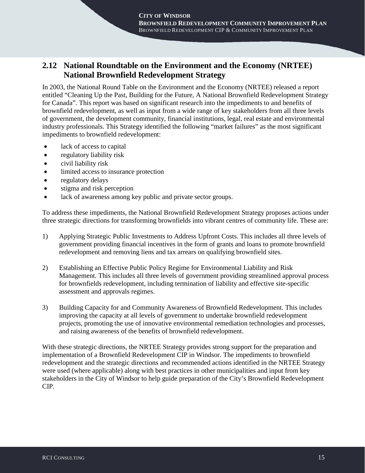## **2.12 National Roundtable on the Environment and the Economy (NRTEE) National Brownfield Redevelopment Strategy**

In 2003, the National Round Table on the Environment and the Economy (NRTEE) released a report entitled "Cleaning Up the Past, Building for the Future, A National Brownfield Redevelopment Strategy for Canada". This report was based on significant research into the impediments to and benefits of brownfield redevelopment, as well as input from a wide range of key stakeholders from all three levels of government, the development community, financial institutions, legal, real estate and environmental industry professionals. This Strategy identified the following "market failures" as the most significant impediments to brownfield redevelopment:

- lack of access to capital
- regulatory liability risk
- civil liability risk
- limited access to insurance protection
- regulatory delays
- stigma and risk perception
- lack of awareness among key public and private sector groups.

To address these impediments, the National Brownfield Redevelopment Strategy proposes actions under three strategic directions for transforming brownfields into vibrant centres of community life. These are:

- 1) Applying Strategic Public Investments to Address Upfront Costs. This includes all three levels of government providing financial incentives in the form of grants and loans to promote brownfield redevelopment and removing liens and tax arrears on qualifying brownfield sites.
- 2) Establishing an Effective Public Policy Regime for Environmental Liability and Risk Management. This includes all three levels of government providing streamlined approval process for brownfields redevelopment, including termination of liability and effective site-specific assessment and approvals regimes.
- 3) Building Capacity for and Community Awareness of Brownfield Redevelopment. This includes improving the capacity at all levels of government to undertake brownfield redevelopment projects, promoting the use of innovative environmental remediation technologies and processes, and raising awareness of the benefits of brownfield redevelopment.

With these strategic directions, the NRTEE Strategy provides strong support for the preparation and implementation of a Brownfield Redevelopment CIP in Windsor. The impediments to brownfield redevelopment and the strategic directions and recommended actions identified in the NRTEE Strategy were used (where applicable) along with best practices in other municipalities and input from key stakeholders in the City of Windsor to help guide preparation of the City's Brownfield Redevelopment CIP.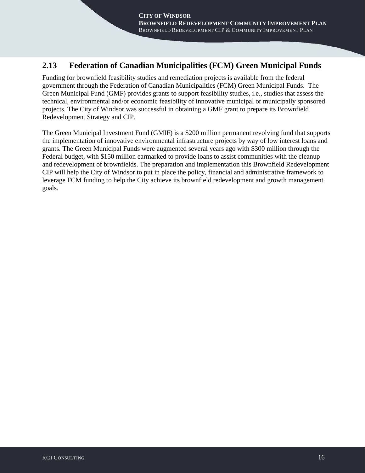## **2.13 Federation of Canadian Municipalities (FCM) Green Municipal Funds**

Funding for brownfield feasibility studies and remediation projects is available from the federal government through the Federation of Canadian Municipalities (FCM) Green Municipal Funds. The Green Municipal Fund (GMF) provides grants to support feasibility studies, i.e., studies that assess the technical, environmental and/or economic feasibility of innovative municipal or municipally sponsored projects. The City of Windsor was successful in obtaining a GMF grant to prepare its Brownfield Redevelopment Strategy and CIP.

The Green Municipal Investment Fund (GMIF) is a \$200 million permanent revolving fund that supports the implementation of innovative environmental infrastructure projects by way of low interest loans and grants. The Green Municipal Funds were augmented several years ago with \$300 million through the Federal budget, with \$150 million earmarked to provide loans to assist communities with the cleanup and redevelopment of brownfields. The preparation and implementation this Brownfield Redevelopment CIP will help the City of Windsor to put in place the policy, financial and administrative framework to leverage FCM funding to help the City achieve its brownfield redevelopment and growth management goals.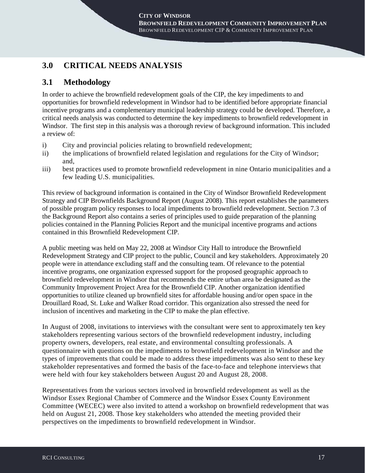## **3.0 CRITICAL NEEDS ANALYSIS**

## **3.1 Methodology**

In order to achieve the brownfield redevelopment goals of the CIP, the key impediments to and opportunities for brownfield redevelopment in Windsor had to be identified before appropriate financial incentive programs and a complementary municipal leadership strategy could be developed. Therefore, a critical needs analysis was conducted to determine the key impediments to brownfield redevelopment in Windsor. The first step in this analysis was a thorough review of background information. This included a review of:

- i) City and provincial policies relating to brownfield redevelopment;
- ii) the implications of brownfield related legislation and regulations for the City of Windsor; and,
- iii) best practices used to promote brownfield redevelopment in nine Ontario municipalities and a few leading U.S. municipalities.

This review of background information is contained in the City of Windsor Brownfield Redevelopment Strategy and CIP Brownfields Background Report (August 2008). This report establishes the parameters of possible program policy responses to local impediments to brownfield redevelopment. Section 7.3 of the Background Report also contains a series of principles used to guide preparation of the planning policies contained in the Planning Policies Report and the municipal incentive programs and actions contained in this Brownfield Redevelopment CIP.

A public meeting was held on May 22, 2008 at Windsor City Hall to introduce the Brownfield Redevelopment Strategy and CIP project to the public, Council and key stakeholders. Approximately 20 people were in attendance excluding staff and the consulting team. Of relevance to the potential incentive programs, one organization expressed support for the proposed geographic approach to brownfield redevelopment in Windsor that recommends the entire urban area be designated as the Community Improvement Project Area for the Brownfield CIP. Another organization identified opportunities to utilize cleaned up brownfield sites for affordable housing and/or open space in the Drouillard Road, St. Luke and Walker Road corridor. This organization also stressed the need for inclusion of incentives and marketing in the CIP to make the plan effective.

In August of 2008, invitations to interviews with the consultant were sent to approximately ten key stakeholders representing various sectors of the brownfield redevelopment industry, including property owners, developers, real estate, and environmental consulting professionals. A questionnaire with questions on the impediments to brownfield redevelopment in Windsor and the types of improvements that could be made to address these impediments was also sent to these key stakeholder representatives and formed the basis of the face-to-face and telephone interviews that were held with four key stakeholders between August 20 and August 28, 2008.

Representatives from the various sectors involved in brownfield redevelopment as well as the Windsor Essex Regional Chamber of Commerce and the Windsor Essex County Environment Committee (WECEC) were also invited to attend a workshop on brownfield redevelopment that was held on August 21, 2008. Those key stakeholders who attended the meeting provided their perspectives on the impediments to brownfield redevelopment in Windsor.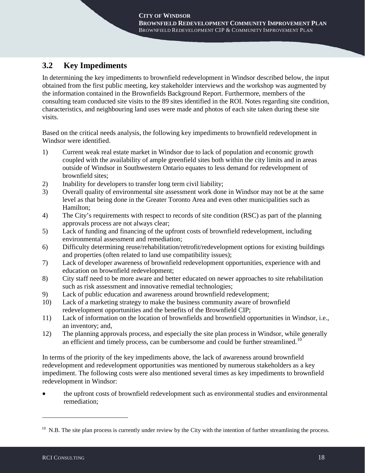## **3.2 Key Impediments**

In determining the key impediments to brownfield redevelopment in Windsor described below, the input obtained from the first public meeting, key stakeholder interviews and the workshop was augmented by the information contained in the Brownfields Background Report. Furthermore, members of the consulting team conducted site visits to the 89 sites identified in the ROI. Notes regarding site condition, characteristics, and neighbouring land uses were made and photos of each site taken during these site visits.

Based on the critical needs analysis, the following key impediments to brownfield redevelopment in Windsor were identified.

- 1) Current weak real estate market in Windsor due to lack of population and economic growth coupled with the availability of ample greenfield sites both within the city limits and in areas outside of Windsor in Southwestern Ontario equates to less demand for redevelopment of brownfield sites;
- 2) Inability for developers to transfer long term civil liability;<br>3) Overall quality of environmental site assessment work done
- 3) Overall quality of environmental site assessment work done in Windsor may not be at the same level as that being done in the Greater Toronto Area and even other municipalities such as Hamilton;
- 4) The City's requirements with respect to records of site condition (RSC) as part of the planning approvals process are not always clear;
- 5) Lack of funding and financing of the upfront costs of brownfield redevelopment, including environmental assessment and remediation;
- 6) Difficulty determining reuse/rehabilitation/retrofit/redevelopment options for existing buildings and properties (often related to land use compatibility issues);
- 7) Lack of developer awareness of brownfield redevelopment opportunities, experience with and education on brownfield redevelopment;
- 8) City staff need to be more aware and better educated on newer approaches to site rehabilitation such as risk assessment and innovative remedial technologies;
- 9) Lack of public education and awareness around brownfield redevelopment;
- 10) Lack of a marketing strategy to make the business community aware of brownfield redevelopment opportunities and the benefits of the Brownfield CIP;
- 11) Lack of information on the location of brownfields and brownfield opportunities in Windsor, i.e., an inventory; and,
- 12) The planning approvals process, and especially the site plan process in Windsor, while generally an efficient and timely process, can be cumbersome and could be further streamlined.<sup>[10](#page-22-0)</sup>

In terms of the priority of the key impediments above, the lack of awareness around brownfield redevelopment and redevelopment opportunities was mentioned by numerous stakeholders as a key impediment. The following costs were also mentioned several times as key impediments to brownfield redevelopment in Windsor:

• the upfront costs of brownfield redevelopment such as environmental studies and environmental remediation;

-

<span id="page-22-0"></span> $10$  N.B. The site plan process is currently under review by the City with the intention of further streamlining the process.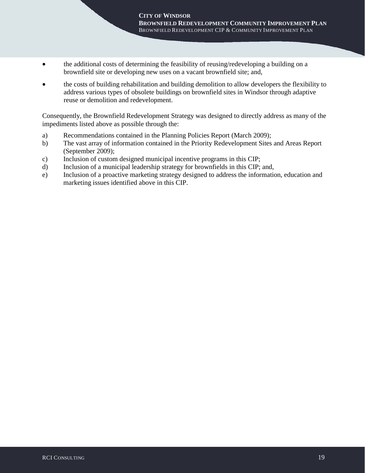- the additional costs of determining the feasibility of reusing/redeveloping a building on a brownfield site or developing new uses on a vacant brownfield site; and,
- the costs of building rehabilitation and building demolition to allow developers the flexibility to address various types of obsolete buildings on brownfield sites in Windsor through adaptive reuse or demolition and redevelopment.

Consequently, the Brownfield Redevelopment Strategy was designed to directly address as many of the impediments listed above as possible through the:

- a) Recommendations contained in the Planning Policies Report (March 2009);<br>b) The vast array of information contained in the Priority Redevelopment Sites
- b) The vast array of information contained in the Priority Redevelopment Sites and Areas Report (September 2009);
- c) Inclusion of custom designed municipal incentive programs in this CIP;
- d) Inclusion of a municipal leadership strategy for brownfields in this CIP; and,
- e) Inclusion of a proactive marketing strategy designed to address the information, education and marketing issues identified above in this CIP.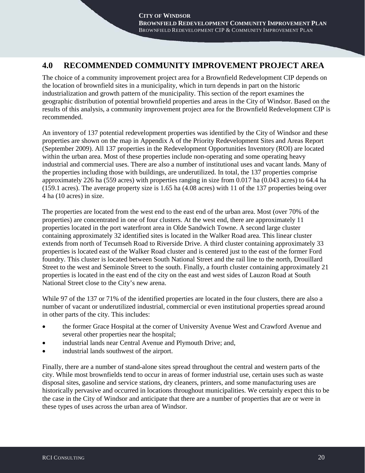### **4.0 RECOMMENDED COMMUNITY IMPROVEMENT PROJECT AREA**

The choice of a community improvement project area for a Brownfield Redevelopment CIP depends on the location of brownfield sites in a municipality, which in turn depends in part on the historic industrialization and growth pattern of the municipality. This section of the report examines the geographic distribution of potential brownfield properties and areas in the City of Windsor. Based on the results of this analysis, a community improvement project area for the Brownfield Redevelopment CIP is recommended.

An inventory of 137 potential redevelopment properties was identified by the City of Windsor and these properties are shown on the map in Appendix A of the Priority Redevelopment Sites and Areas Report (September 2009). All 137 properties in the Redevelopment Opportunities Inventory (ROI) are located within the urban area. Most of these properties include non-operating and some operating heavy industrial and commercial uses. There are also a number of institutional uses and vacant lands. Many of the properties including those with buildings, are underutilized. In total, the 137 properties comprise approximately 226 ha (559 acres) with properties ranging in size from 0.017 ha (0.043 acres) to 64.4 ha (159.1 acres). The average property size is 1.65 ha (4.08 acres) with 11 of the 137 properties being over 4 ha (10 acres) in size.

The properties are located from the west end to the east end of the urban area. Most (over 70% of the properties) are concentrated in one of four clusters. At the west end, there are approximately 11 properties located in the port waterfront area in Olde Sandwich Towne. A second large cluster containing approximately 32 identified sites is located in the Walker Road area. This linear cluster extends from north of Tecumseh Road to Riverside Drive. A third cluster containing approximately 33 properties is located east of the Walker Road cluster and is centered just to the east of the former Ford foundry. This cluster is located between South National Street and the rail line to the north, Drouillard Street to the west and Seminole Street to the south. Finally, a fourth cluster containing approximately 21 properties is located in the east end of the city on the east and west sides of Lauzon Road at South National Street close to the City's new arena.

While 97 of the 137 or 71% of the identified properties are located in the four clusters, there are also a number of vacant or underutilized industrial, commercial or even institutional properties spread around in other parts of the city. This includes:

- the former Grace Hospital at the corner of University Avenue West and Crawford Avenue and several other properties near the hospital;
- industrial lands near Central Avenue and Plymouth Drive; and,
- industrial lands southwest of the airport.

Finally, there are a number of stand-alone sites spread throughout the central and western parts of the city. While most brownfields tend to occur in areas of former industrial use, certain uses such as waste disposal sites, gasoline and service stations, dry cleaners, printers, and some manufacturing uses are historically pervasive and occurred in locations throughout municipalities. We certainly expect this to be the case in the City of Windsor and anticipate that there are a number of properties that are or were in these types of uses across the urban area of Windsor.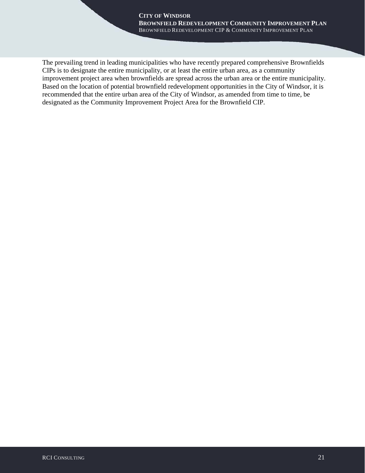The prevailing trend in leading municipalities who have recently prepared comprehensive Brownfields CIPs is to designate the entire municipality, or at least the entire urban area, as a community improvement project area when brownfields are spread across the urban area or the entire municipality. Based on the location of potential brownfield redevelopment opportunities in the City of Windsor, it is recommended that the entire urban area of the City of Windsor, as amended from time to time, be designated as the Community Improvement Project Area for the Brownfield CIP.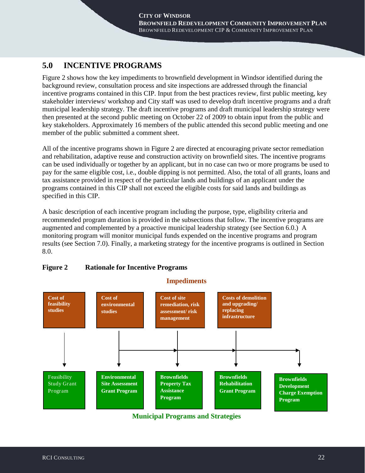## **5.0 INCENTIVE PROGRAMS**

Figure 2 shows how the key impediments to brownfield development in Windsor identified during the background review, consultation process and site inspections are addressed through the financial incentive programs contained in this CIP. Input from the best practices review, first public meeting, key stakeholder interviews/ workshop and City staff was used to develop draft incentive programs and a draft municipal leadership strategy. The draft incentive programs and draft municipal leadership strategy were then presented at the second public meeting on October 22 of 2009 to obtain input from the public and key stakeholders. Approximately 16 members of the public attended this second public meeting and one member of the public submitted a comment sheet.

All of the incentive programs shown in Figure 2 are directed at encouraging private sector remediation and rehabilitation, adaptive reuse and construction activity on brownfield sites. The incentive programs can be used individually or together by an applicant, but in no case can two or more programs be used to pay for the same eligible cost, i.e., double dipping is not permitted. Also, the total of all grants, loans and tax assistance provided in respect of the particular lands and buildings of an applicant under the programs contained in this CIP shall not exceed the eligible costs for said lands and buildings as specified in this CIP.

A basic description of each incentive program including the purpose, type, eligibility criteria and recommended program duration is provided in the subsections that follow. The incentive programs are augmented and complemented by a proactive municipal leadership strategy (see Section 6.0.) A monitoring program will monitor municipal funds expended on the incentive programs and program results (see Section 7.0). Finally, a marketing strategy for the incentive programs is outlined in Section 8.0.



#### **Figure 2 Rationale for Incentive Programs**

**Municipal Programs and Strategies**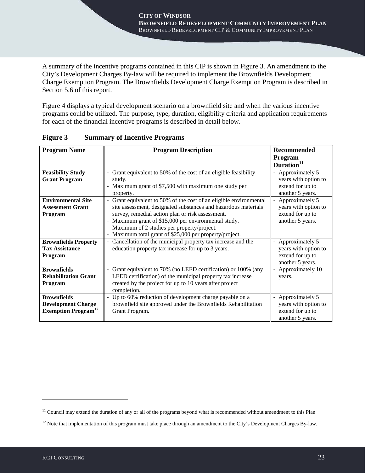A summary of the incentive programs contained in this CIP is shown in Figure 3. An amendment to the City's Development Charges By-law will be required to implement the Brownfields Development Charge Exemption Program. The Brownfields Development Charge Exemption Program is described in Section 5.6 of this report.

Figure 4 displays a typical development scenario on a brownfield site and when the various incentive programs could be utilized. The purpose, type, duration, eligibility criteria and application requirements for each of the financial incentive programs is described in detail below.

| <b>Program Name</b>                    | <b>Program Description</b>                                                        | <b>Recommended</b>     |
|----------------------------------------|-----------------------------------------------------------------------------------|------------------------|
|                                        |                                                                                   | Program                |
|                                        |                                                                                   | Duration <sup>11</sup> |
| <b>Feasibility Study</b>               | Grant equivalent to 50% of the cost of an eligible feasibility                    | Approximately 5        |
| <b>Grant Program</b>                   | study.                                                                            | years with option to   |
|                                        | Maximum grant of \$7,500 with maximum one study per                               | extend for up to       |
|                                        | property.                                                                         | another 5 years.       |
| <b>Environmental Site</b>              | Grant equivalent to 50% of the cost of an eligible environmental                  | Approximately 5        |
| <b>Assessment Grant</b>                | site assessment, designated substances and hazardous materials                    | years with option to   |
| Program                                | survey, remedial action plan or risk assessment.                                  | extend for up to       |
|                                        | Maximum grant of \$15,000 per environmental study.<br>$\frac{1}{2}$               | another 5 years.       |
|                                        | Maximum of 2 studies per property/project.<br>$\overline{\phantom{a}}$            |                        |
|                                        | Maximum total grant of \$25,000 per property/project.<br>$\overline{\phantom{a}}$ |                        |
| <b>Brownfields Property</b>            | Cancellation of the municipal property tax increase and the                       | Approximately 5        |
| <b>Tax Assistance</b>                  | education property tax increase for up to 3 years.                                | years with option to   |
| Program                                |                                                                                   | extend for up to       |
|                                        |                                                                                   | another 5 years.       |
| <b>Brownfields</b>                     | Grant equivalent to 70% (no LEED certification) or 100% (any                      | Approximately 10       |
| <b>Rehabilitation Grant</b>            | LEED certification) of the municipal property tax increase                        | years.                 |
| Program                                | created by the project for up to 10 years after project                           |                        |
|                                        | completion.                                                                       |                        |
| <b>Brownfields</b>                     | Up to 60% reduction of development charge payable on a                            | Approximately 5        |
| <b>Development Charge</b>              | brownfield site approved under the Brownfields Rehabilitation                     | years with option to   |
| <b>Exemption Program</b> <sup>12</sup> | Grant Program.                                                                    | extend for up to       |
|                                        |                                                                                   | another 5 years.       |

**Figure 3 Summary of Incentive Programs**

-

<span id="page-27-0"></span><sup>&</sup>lt;sup>11</sup> Council may extend the duration of any or all of the programs beyond what is recommended without amendment to this Plan

<span id="page-27-1"></span> $12$  Note that implementation of this program must take place through an amendment to the City's Development Charges By-law.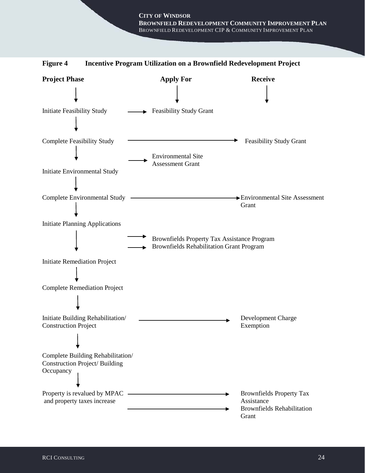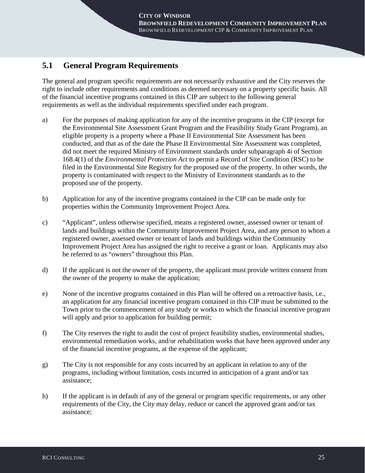## **5.1 General Program Requirements**

The general and program specific requirements are not necessarily exhaustive and the City reserves the right to include other requirements and conditions as deemed necessary on a property specific basis. All of the financial incentive programs contained in this CIP are subject to the following general requirements as well as the individual requirements specified under each program.

- a) For the purposes of making application for any of the incentive programs in the CIP (except for the Environmental Site Assessment Grant Program and the Feasibility Study Grant Program), an eligible property is a property where a Phase II Environmental Site Assessment has been conducted, and that as of the date the Phase II Environmental Site Assessment was completed, did not meet the required Ministry of Environment standards under subparagraph 4i of Section 168.4(1) of the *Environmental Protection Act* to permit a Record of Site Condition (RSC) to be filed in the Environmental Site Registry for the proposed use of the property. In other words, the property is contaminated with respect to the Ministry of Environment standards as to the proposed use of the property.
- b) Application for any of the incentive programs contained in the CIP can be made only for properties within the Community Improvement Project Area.
- c) "Applicant", unless otherwise specified, means a registered owner, assessed owner or tenant of lands and buildings within the Community Improvement Project Area, and any person to whom a registered owner, assessed owner or tenant of lands and buildings within the Community Improvement Project Area has assigned the right to receive a grant or loan. Applicants may also be referred to as "owners" throughout this Plan.
- d) If the applicant is not the owner of the property, the applicant must provide written consent from the owner of the property to make the application;
- e) None of the incentive programs contained in this Plan will be offered on a retroactive basis, i.e., an application for any financial incentive program contained in this CIP must be submitted to the Town prior to the commencement of any study or works to which the financial incentive program will apply and prior to application for building permit;
- f) The City reserves the right to audit the cost of project feasibility studies, environmental studies, environmental remediation works, and/or rehabilitation works that have been approved under any of the financial incentive programs, at the expense of the applicant;
- g) The City is not responsible for any costs incurred by an applicant in relation to any of the programs, including without limitation, costs incurred in anticipation of a grant and/or tax assistance;
- h) If the applicant is in default of any of the general or program specific requirements, or any other requirements of the City, the City may delay, reduce or cancel the approved grant and/or tax assistance;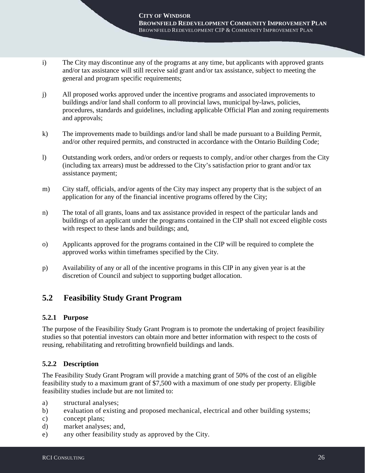- i) The City may discontinue any of the programs at any time, but applicants with approved grants and/or tax assistance will still receive said grant and/or tax assistance, subject to meeting the general and program specific requirements;
- j) All proposed works approved under the incentive programs and associated improvements to buildings and/or land shall conform to all provincial laws, municipal by-laws, policies, procedures, standards and guidelines, including applicable Official Plan and zoning requirements and approvals;
- k) The improvements made to buildings and/or land shall be made pursuant to a Building Permit, and/or other required permits, and constructed in accordance with the Ontario Building Code;
- l) Outstanding work orders, and/or orders or requests to comply, and/or other charges from the City (including tax arrears) must be addressed to the City's satisfaction prior to grant and/or tax assistance payment;
- m) City staff, officials, and/or agents of the City may inspect any property that is the subject of an application for any of the financial incentive programs offered by the City;
- n) The total of all grants, loans and tax assistance provided in respect of the particular lands and buildings of an applicant under the programs contained in the CIP shall not exceed eligible costs with respect to these lands and buildings; and,
- o) Applicants approved for the programs contained in the CIP will be required to complete the approved works within timeframes specified by the City.
- p) Availability of any or all of the incentive programs in this CIP in any given year is at the discretion of Council and subject to supporting budget allocation.

### **5.2 Feasibility Study Grant Program**

#### **5.2.1 Purpose**

The purpose of the Feasibility Study Grant Program is to promote the undertaking of project feasibility studies so that potential investors can obtain more and better information with respect to the costs of reusing, rehabilitating and retrofitting brownfield buildings and lands.

#### **5.2.2 Description**

The Feasibility Study Grant Program will provide a matching grant of 50% of the cost of an eligible feasibility study to a maximum grant of \$7,500 with a maximum of one study per property. Eligible feasibility studies include but are not limited to:

- a) structural analyses;
- b) evaluation of existing and proposed mechanical, electrical and other building systems;
- c) concept plans;
- d) market analyses; and,
- e) any other feasibility study as approved by the City.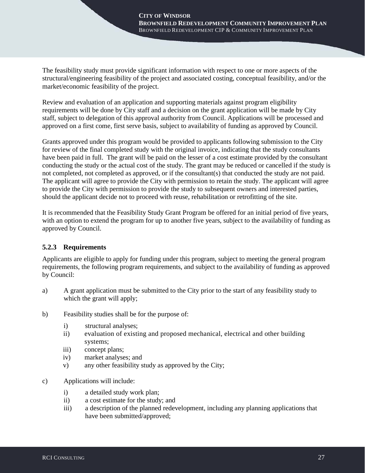The feasibility study must provide significant information with respect to one or more aspects of the structural/engineering feasibility of the project and associated costing, conceptual feasibility, and/or the market/economic feasibility of the project.

Review and evaluation of an application and supporting materials against program eligibility requirements will be done by City staff and a decision on the grant application will be made by City staff, subject to delegation of this approval authority from Council. Applications will be processed and approved on a first come, first serve basis, subject to availability of funding as approved by Council.

Grants approved under this program would be provided to applicants following submission to the City for review of the final completed study with the original invoice, indicating that the study consultants have been paid in full. The grant will be paid on the lesser of a cost estimate provided by the consultant conducting the study or the actual cost of the study. The grant may be reduced or cancelled if the study is not completed, not completed as approved, or if the consultant(s) that conducted the study are not paid. The applicant will agree to provide the City with permission to retain the study. The applicant will agree to provide the City with permission to provide the study to subsequent owners and interested parties, should the applicant decide not to proceed with reuse, rehabilitation or retrofitting of the site.

It is recommended that the Feasibility Study Grant Program be offered for an initial period of five years, with an option to extend the program for up to another five years, subject to the availability of funding as approved by Council.

#### **5.2.3 Requirements**

Applicants are eligible to apply for funding under this program, subject to meeting the general program requirements, the following program requirements, and subject to the availability of funding as approved by Council:

- a) A grant application must be submitted to the City prior to the start of any feasibility study to which the grant will apply;
- b) Feasibility studies shall be for the purpose of:
	- i) structural analyses;
	- ii) evaluation of existing and proposed mechanical, electrical and other building systems;
	- iii) concept plans;
	- iv) market analyses; and
	- v) any other feasibility study as approved by the City;
- c) Applications will include:
	- i) a detailed study work plan;
	- ii) a cost estimate for the study; and
	- iii) a description of the planned redevelopment, including any planning applications that have been submitted/approved;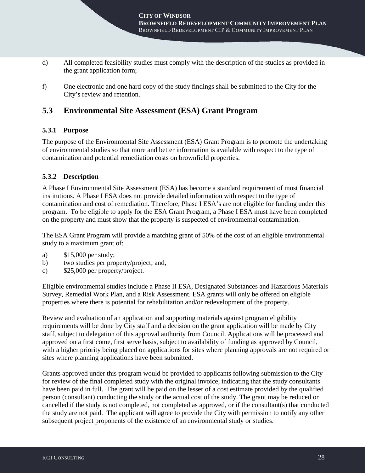- d) All completed feasibility studies must comply with the description of the studies as provided in the grant application form;
- f) One electronic and one hard copy of the study findings shall be submitted to the City for the City's review and retention.

### **5.3 Environmental Site Assessment (ESA) Grant Program**

#### **5.3.1 Purpose**

The purpose of the Environmental Site Assessment (ESA) Grant Program is to promote the undertaking of environmental studies so that more and better information is available with respect to the type of contamination and potential remediation costs on brownfield properties.

#### **5.3.2 Description**

A Phase I Environmental Site Assessment (ESA) has become a standard requirement of most financial institutions. A Phase I ESA does not provide detailed information with respect to the type of contamination and cost of remediation. Therefore, Phase I ESA's are not eligible for funding under this program. To be eligible to apply for the ESA Grant Program, a Phase I ESA must have been completed on the property and must show that the property is suspected of environmental contamination.

The ESA Grant Program will provide a matching grant of 50% of the cost of an eligible environmental study to a maximum grant of:

- a) \$15,000 per study;
- b) two studies per property/project; and,
- c) \$25,000 per property/project.

Eligible environmental studies include a Phase II ESA, Designated Substances and Hazardous Materials Survey, Remedial Work Plan, and a Risk Assessment. ESA grants will only be offered on eligible properties where there is potential for rehabilitation and/or redevelopment of the property.

Review and evaluation of an application and supporting materials against program eligibility requirements will be done by City staff and a decision on the grant application will be made by City staff, subject to delegation of this approval authority from Council. Applications will be processed and approved on a first come, first serve basis, subject to availability of funding as approved by Council, with a higher priority being placed on applications for sites where planning approvals are not required or sites where planning applications have been submitted.

Grants approved under this program would be provided to applicants following submission to the City for review of the final completed study with the original invoice, indicating that the study consultants have been paid in full. The grant will be paid on the lesser of a cost estimate provided by the qualified person (consultant) conducting the study or the actual cost of the study. The grant may be reduced or cancelled if the study is not completed, not completed as approved, or if the consultant(s) that conducted the study are not paid. The applicant will agree to provide the City with permission to notify any other subsequent project proponents of the existence of an environmental study or studies.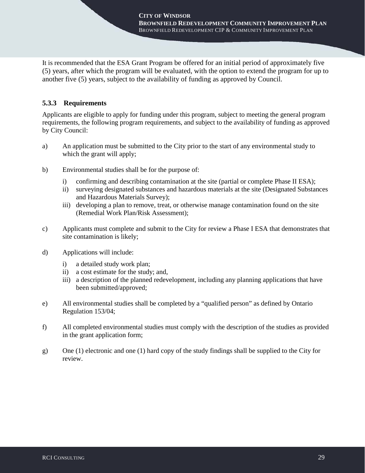It is recommended that the ESA Grant Program be offered for an initial period of approximately five (5) years, after which the program will be evaluated, with the option to extend the program for up to another five (5) years, subject to the availability of funding as approved by Council.

#### **5.3.3 Requirements**

Applicants are eligible to apply for funding under this program, subject to meeting the general program requirements, the following program requirements, and subject to the availability of funding as approved by City Council:

- a) An application must be submitted to the City prior to the start of any environmental study to which the grant will apply;
- b) Environmental studies shall be for the purpose of:
	- i) confirming and describing contamination at the site (partial or complete Phase II ESA);
	- ii) surveying designated substances and hazardous materials at the site (Designated Substances and Hazardous Materials Survey);
	- iii) developing a plan to remove, treat, or otherwise manage contamination found on the site (Remedial Work Plan/Risk Assessment);
- c) Applicants must complete and submit to the City for review a Phase I ESA that demonstrates that site contamination is likely;
- d) Applications will include:
	- i) a detailed study work plan;
	- ii) a cost estimate for the study; and,
	- iii) a description of the planned redevelopment, including any planning applications that have been submitted/approved;
- e) All environmental studies shall be completed by a "qualified person" as defined by Ontario Regulation 153/04;
- f) All completed environmental studies must comply with the description of the studies as provided in the grant application form;
- g) One (1) electronic and one (1) hard copy of the study findings shall be supplied to the City for review.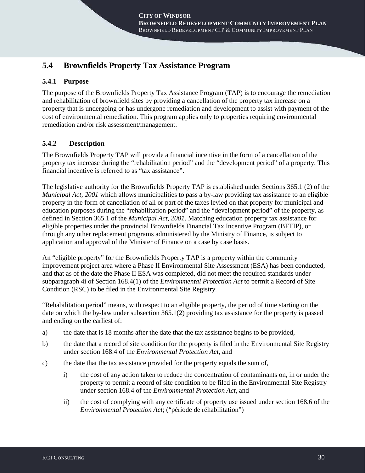# **5.4 Brownfields Property Tax Assistance Program**

#### **5.4.1 Purpose**

The purpose of the Brownfields Property Tax Assistance Program (TAP) is to encourage the remediation and rehabilitation of brownfield sites by providing a cancellation of the property tax increase on a property that is undergoing or has undergone remediation and development to assist with payment of the cost of environmental remediation. This program applies only to properties requiring environmental remediation and/or risk assessment/management.

#### **5.4.2 Description**

The Brownfields Property TAP will provide a financial incentive in the form of a cancellation of the property tax increase during the "rehabilitation period" and the "development period" of a property. This financial incentive is referred to as "tax assistance".

The legislative authority for the Brownfields Property TAP is established under Sections 365.1 (2) of the *Municipal Act, 2001* which allows municipalities to pass a by-law providing tax assistance to an eligible property in the form of cancellation of all or part of the taxes levied on that property for municipal and education purposes during the "rehabilitation period" and the "development period" of the property, as defined in Section 365.1 of the *Municipal Act, 2001*. Matching education property tax assistance for eligible properties under the provincial Brownfields Financial Tax Incentive Program (BFTIP), or through any other replacement programs administered by the Ministry of Finance, is subject to application and approval of the Minister of Finance on a case by case basis.

An "eligible property" for the Brownfields Property TAP is a property within the community improvement project area where a Phase II Environmental Site Assessment (ESA) has been conducted, and that as of the date the Phase II ESA was completed, did not meet the required standards under subparagraph 4i of Section 168.4(1) of the *Environmental Protection Act* to permit a Record of Site Condition (RSC) to be filed in the Environmental Site Registry.

"Rehabilitation period" means, with respect to an eligible property, the period of time starting on the date on which the by-law under subsection 365.1(2) providing tax assistance for the property is passed and ending on the earliest of:

- a) the date that is 18 months after the date that the tax assistance begins to be provided,
- b) the date that a record of site condition for the property is filed in the Environmental Site Registry under section 168.4 of the *Environmental Protection Act*, and
- c) the date that the tax assistance provided for the property equals the sum of,
	- i) the cost of any action taken to reduce the concentration of contaminants on, in or under the property to permit a record of site condition to be filed in the Environmental Site Registry under section 168.4 of the *Environmental Protection Act*, and
	- ii) the cost of complying with any certificate of property use issued under section 168.6 of the *Environmental Protection Act*; ("période de réhabilitation")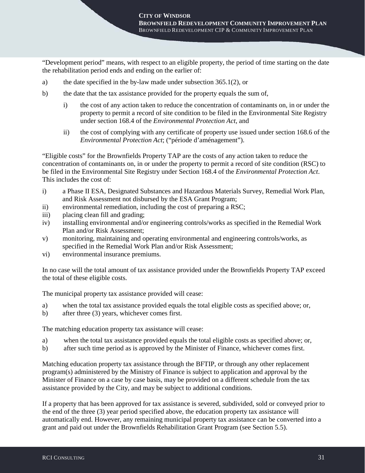"Development period" means, with respect to an eligible property, the period of time starting on the date the rehabilitation period ends and ending on the earlier of:

- a) the date specified in the by-law made under subsection 365.1(2), or
- b) the date that the tax assistance provided for the property equals the sum of,
	- i) the cost of any action taken to reduce the concentration of contaminants on, in or under the property to permit a record of site condition to be filed in the Environmental Site Registry under section 168.4 of the *Environmental Protection Act*, and
	- ii) the cost of complying with any certificate of property use issued under section 168.6 of the *Environmental Protection Act*; ("période d'aménagement").

"Eligible costs" for the Brownfields Property TAP are the costs of any action taken to reduce the concentration of contaminants on, in or under the property to permit a record of site condition (RSC) to be filed in the Environmental Site Registry under Section 168.4 of the *Environmental Protection Act*. This includes the cost of:

- i) a Phase II ESA, Designated Substances and Hazardous Materials Survey, Remedial Work Plan, and Risk Assessment not disbursed by the ESA Grant Program;
- ii) environmental remediation, including the cost of preparing a RSC;
- iii) placing clean fill and grading;
- iv) installing environmental and/or engineering controls/works as specified in the Remedial Work Plan and/or Risk Assessment;
- v) monitoring, maintaining and operating environmental and engineering controls/works, as specified in the Remedial Work Plan and/or Risk Assessment;
- vi) environmental insurance premiums.

In no case will the total amount of tax assistance provided under the Brownfields Property TAP exceed the total of these eligible costs.

The municipal property tax assistance provided will cease:

- a) when the total tax assistance provided equals the total eligible costs as specified above; or,
- b) after three (3) years, whichever comes first.

The matching education property tax assistance will cease:

- a) when the total tax assistance provided equals the total eligible costs as specified above; or,
- b) after such time period as is approved by the Minister of Finance, whichever comes first.

Matching education property tax assistance through the BFTIP, or through any other replacement program(s) administered by the Ministry of Finance is subject to application and approval by the Minister of Finance on a case by case basis, may be provided on a different schedule from the tax assistance provided by the City, and may be subject to additional conditions.

If a property that has been approved for tax assistance is severed, subdivided, sold or conveyed prior to the end of the three (3) year period specified above, the education property tax assistance will automatically end. However, any remaining municipal property tax assistance can be converted into a grant and paid out under the Brownfields Rehabilitation Grant Program (see Section 5.5).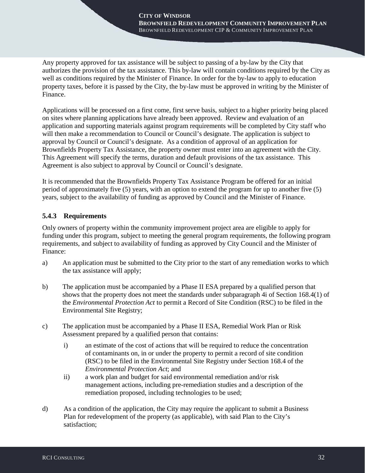Any property approved for tax assistance will be subject to passing of a by-law by the City that authorizes the provision of the tax assistance. This by-law will contain conditions required by the City as well as conditions required by the Minister of Finance. In order for the by-law to apply to education property taxes, before it is passed by the City, the by-law must be approved in writing by the Minister of Finance.

Applications will be processed on a first come, first serve basis, subject to a higher priority being placed on sites where planning applications have already been approved. Review and evaluation of an application and supporting materials against program requirements will be completed by City staff who will then make a recommendation to Council or Council's designate. The application is subject to approval by Council or Council's designate. As a condition of approval of an application for Brownfields Property Tax Assistance, the property owner must enter into an agreement with the City. This Agreement will specify the terms, duration and default provisions of the tax assistance. This Agreement is also subject to approval by Council or Council's designate.

It is recommended that the Brownfields Property Tax Assistance Program be offered for an initial period of approximately five (5) years, with an option to extend the program for up to another five (5) years, subject to the availability of funding as approved by Council and the Minister of Finance.

## **5.4.3 Requirements**

Only owners of property within the community improvement project area are eligible to apply for funding under this program, subject to meeting the general program requirements, the following program requirements, and subject to availability of funding as approved by City Council and the Minister of Finance:

- a) An application must be submitted to the City prior to the start of any remediation works to which the tax assistance will apply;
- b) The application must be accompanied by a Phase II ESA prepared by a qualified person that shows that the property does not meet the standards under subparagraph 4i of Section 168.4(1) of the *Environmental Protection Act* to permit a Record of Site Condition (RSC) to be filed in the Environmental Site Registry;
- c) The application must be accompanied by a Phase II ESA, Remedial Work Plan or Risk Assessment prepared by a qualified person that contains:
	- i) an estimate of the cost of actions that will be required to reduce the concentration of contaminants on, in or under the property to permit a record of site condition (RSC) to be filed in the Environmental Site Registry under Section 168.4 of the *Environmental Protection Act*; and
	- ii) a work plan and budget for said environmental remediation and/or risk management actions, including pre-remediation studies and a description of the remediation proposed, including technologies to be used;
- d) As a condition of the application, the City may require the applicant to submit a Business Plan for redevelopment of the property (as applicable), with said Plan to the City's satisfaction;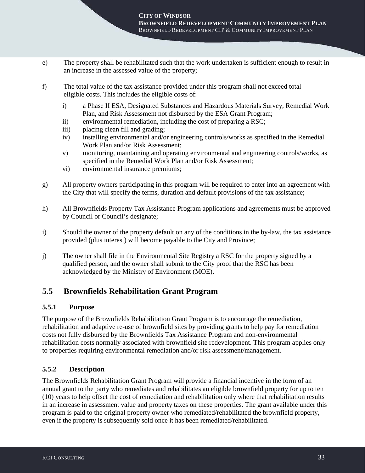- e) The property shall be rehabilitated such that the work undertaken is sufficient enough to result in an increase in the assessed value of the property;
- f) The total value of the tax assistance provided under this program shall not exceed total eligible costs. This includes the eligible costs of:
	- i) a Phase II ESA, Designated Substances and Hazardous Materials Survey, Remedial Work Plan, and Risk Assessment not disbursed by the ESA Grant Program;
	- ii) environmental remediation, including the cost of preparing a RSC;
	- iii) placing clean fill and grading;
	- iv) installing environmental and/or engineering controls/works as specified in the Remedial Work Plan and/or Risk Assessment;
	- v) monitoring, maintaining and operating environmental and engineering controls/works, as specified in the Remedial Work Plan and/or Risk Assessment;
	- vi) environmental insurance premiums;
- g) All property owners participating in this program will be required to enter into an agreement with the City that will specify the terms, duration and default provisions of the tax assistance;
- h) All Brownfields Property Tax Assistance Program applications and agreements must be approved by Council or Council's designate;
- i) Should the owner of the property default on any of the conditions in the by-law, the tax assistance provided (plus interest) will become payable to the City and Province;
- j) The owner shall file in the Environmental Site Registry a RSC for the property signed by a qualified person, and the owner shall submit to the City proof that the RSC has been acknowledged by the Ministry of Environment (MOE).

## **5.5 Brownfields Rehabilitation Grant Program**

### **5.5.1 Purpose**

The purpose of the Brownfields Rehabilitation Grant Program is to encourage the remediation, rehabilitation and adaptive re-use of brownfield sites by providing grants to help pay for remediation costs not fully disbursed by the Brownfields Tax Assistance Program and non-environmental rehabilitation costs normally associated with brownfield site redevelopment. This program applies only to properties requiring environmental remediation and/or risk assessment/management.

### **5.5.2 Description**

The Brownfields Rehabilitation Grant Program will provide a financial incentive in the form of an annual grant to the party who remediates and rehabilitates an eligible brownfield property for up to ten (10) years to help offset the cost of remediation and rehabilitation only where that rehabilitation results in an increase in assessment value and property taxes on these properties. The grant available under this program is paid to the original property owner who remediated/rehabilitated the brownfield property, even if the property is subsequently sold once it has been remediated/rehabilitated.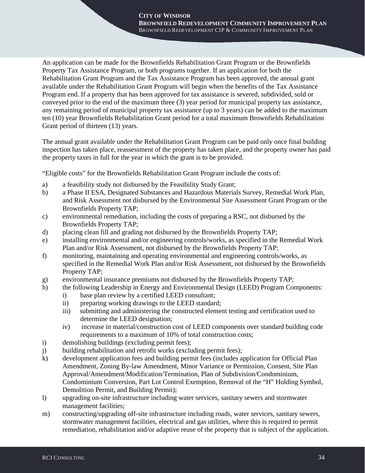An application can be made for the Brownfields Rehabilitation Grant Program or the Brownfields Property Tax Assistance Program, or both programs together. If an application for both the Rehabilitation Grant Program and the Tax Assistance Program has been approved, the annual grant available under the Rehabilitation Grant Program will begin when the benefits of the Tax Assistance Program end. If a property that has been approved for tax assistance is severed, subdivided, sold or conveyed prior to the end of the maximum three (3) year period for municipal property tax assistance, any remaining period of municipal property tax assistance (up to 3 years) can be added to the maximum ten (10) year Brownfields Rehabilitation Grant period for a total maximum Brownfields Rehabilitation Grant period of thirteen (13) years.

The annual grant available under the Rehabilitation Grant Program can be paid only once final building inspection has taken place, reassessment of the property has taken place, and the property owner has paid the property taxes in full for the year in which the grant is to be provided.

"Eligible costs" for the Brownfields Rehabilitation Grant Program include the costs of:

- a) a feasibility study not disbursed by the Feasibility Study Grant;
- b) a Phase II ESA, Designated Substances and Hazardous Materials Survey, Remedial Work Plan, and Risk Assessment not disbursed by the Environmental Site Assessment Grant Program or the Brownfields Property TAP;
- c) environmental remediation, including the costs of preparing a RSC, not disbursed by the Brownfields Property TAP;
- d) placing clean fill and grading not disbursed by the Brownfields Property TAP;
- e) installing environmental and/or engineering controls/works, as specified in the Remedial Work Plan and/or Risk Assessment, not disbursed by the Brownfields Property TAP;
- f) monitoring, maintaining and operating environmental and engineering controls/works, as specified in the Remedial Work Plan and/or Risk Assessment, not disbursed by the Brownfields Property TAP;
- g) environmental insurance premiums not disbursed by the Brownfields Property TAP;
- h) the following Leadership in Energy and Environmental Design (LEED) Program Components:
	- i) base plan review by a certified LEED consultant;
	- ii) preparing working drawings to the LEED standard;
	- iii) submitting and administering the constructed element testing and certification used to determine the LEED designation;
	- iv) increase in material/construction cost of LEED components over standard building code requirements to a maximum of 10% of total construction costs;
- i) demolishing buildings (excluding permit fees);
- j) building rehabilitation and retrofit works (excluding permit fees);
- k) development application fees and building permit fees (includes application for Official Plan Amendment, Zoning By-law Amendment, Minor Variance or Permission, Consent, Site Plan Approval/Amendment/Modification/Termination, Plan of Subdivision/Condominium, Condominium Conversion, Part Lot Control Exemption, Removal of the "H" Holding Symbol, Demolition Permit, and Building Permit);
- l) upgrading on-site infrastructure including water services, sanitary sewers and stormwater management facilities;
- m) constructing/upgrading off-site infrastructure including roads, water services, sanitary sewers, stormwater management facilities, electrical and gas utilities, where this is required to permit remediation, rehabilitation and/or adaptive reuse of the property that is subject of the application.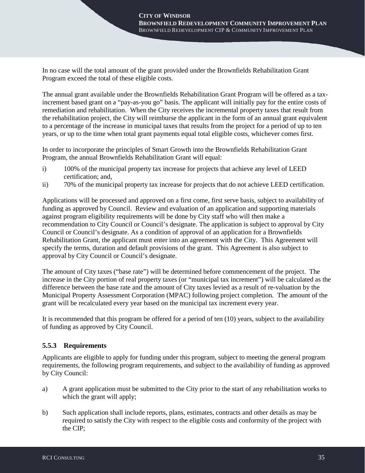In no case will the total amount of the grant provided under the Brownfields Rehabilitation Grant Program exceed the total of these eligible costs.

The annual grant available under the Brownfields Rehabilitation Grant Program will be offered as a taxincrement based grant on a "pay-as-you go" basis. The applicant will initially pay for the entire costs of remediation and rehabilitation. When the City receives the incremental property taxes that result from the rehabilitation project, the City will reimburse the applicant in the form of an annual grant equivalent to a percentage of the increase in municipal taxes that results from the project for a period of up to ten years, or up to the time when total grant payments equal total eligible costs, whichever comes first.

In order to incorporate the principles of Smart Growth into the Brownfields Rehabilitation Grant Program, the annual Brownfields Rehabilitation Grant will equal:

- i) 100% of the municipal property tax increase for projects that achieve any level of LEED certification; and,
- ii) 70% of the municipal property tax increase for projects that do not achieve LEED certification.

Applications will be processed and approved on a first come, first serve basis, subject to availability of funding as approved by Council. Review and evaluation of an application and supporting materials against program eligibility requirements will be done by City staff who will then make a recommendation to City Council or Council's designate. The application is subject to approval by City Council or Council's designate. As a condition of approval of an application for a Brownfields Rehabilitation Grant, the applicant must enter into an agreement with the City. This Agreement will specify the terms, duration and default provisions of the grant. This Agreement is also subject to approval by City Council or Council's designate.

The amount of City taxes ("base rate") will be determined before commencement of the project. The increase in the City portion of real property taxes (or "municipal tax increment") will be calculated as the difference between the base rate and the amount of City taxes levied as a result of re-valuation by the Municipal Property Assessment Corporation (MPAC) following project completion. The amount of the grant will be recalculated every year based on the municipal tax increment every year.

It is recommended that this program be offered for a period of ten (10) years, subject to the availability of funding as approved by City Council.

### **5.5.3 Requirements**

Applicants are eligible to apply for funding under this program, subject to meeting the general program requirements, the following program requirements, and subject to the availability of funding as approved by City Council:

- a) A grant application must be submitted to the City prior to the start of any rehabilitation works to which the grant will apply;
- b) Such application shall include reports, plans, estimates, contracts and other details as may be required to satisfy the City with respect to the eligible costs and conformity of the project with the CIP;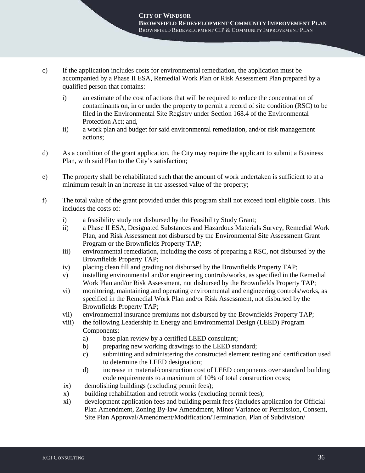- c) If the application includes costs for environmental remediation, the application must be accompanied by a Phase II ESA, Remedial Work Plan or Risk Assessment Plan prepared by a qualified person that contains:
	- i) an estimate of the cost of actions that will be required to reduce the concentration of contaminants on, in or under the property to permit a record of site condition (RSC) to be filed in the Environmental Site Registry under Section 168.4 of the Environmental Protection Act; and,
	- ii) a work plan and budget for said environmental remediation, and/or risk management actions;
- d) As a condition of the grant application, the City may require the applicant to submit a Business Plan, with said Plan to the City's satisfaction;
- e) The property shall be rehabilitated such that the amount of work undertaken is sufficient to at a minimum result in an increase in the assessed value of the property;
- f) The total value of the grant provided under this program shall not exceed total eligible costs. This includes the costs of:
	- i) a feasibility study not disbursed by the Feasibility Study Grant;
	- ii) a Phase II ESA, Designated Substances and Hazardous Materials Survey, Remedial Work Plan, and Risk Assessment not disbursed by the Environmental Site Assessment Grant Program or the Brownfields Property TAP;
	- iii) environmental remediation, including the costs of preparing a RSC, not disbursed by the Brownfields Property TAP;
	- iv) placing clean fill and grading not disbursed by the Brownfields Property TAP;
	- v) installing environmental and/or engineering controls/works, as specified in the Remedial Work Plan and/or Risk Assessment, not disbursed by the Brownfields Property TAP;
	- vi) monitoring, maintaining and operating environmental and engineering controls/works, as specified in the Remedial Work Plan and/or Risk Assessment, not disbursed by the Brownfields Property TAP;
	- vii) environmental insurance premiums not disbursed by the Brownfields Property TAP;
	- viii) the following Leadership in Energy and Environmental Design (LEED) Program Components:
		- a) base plan review by a certified LEED consultant;
		- b) preparing new working drawings to the LEED standard;
		- c) submitting and administering the constructed element testing and certification used to determine the LEED designation;
		- d) increase in material/construction cost of LEED components over standard building code requirements to a maximum of 10% of total construction costs;
	- ix) demolishing buildings (excluding permit fees);
	- x) building rehabilitation and retrofit works (excluding permit fees);
	- xi) development application fees and building permit fees (includes application for Official Plan Amendment, Zoning By-law Amendment, Minor Variance or Permission, Consent, Site Plan Approval/Amendment/Modification/Termination, Plan of Subdivision/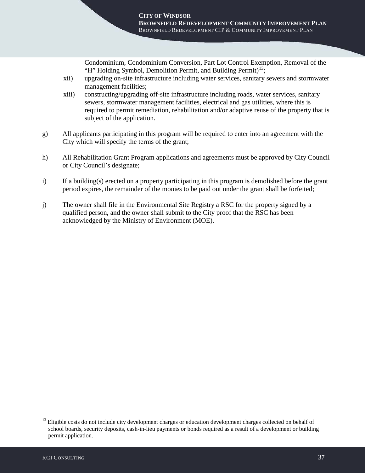Condominium, Condominium Conversion, Part Lot Control Exemption, Removal of the "H" Holding Symbol, Demolition Permit, and Building Permit)<sup>[13](#page-41-0)</sup>;

- xii) upgrading on-site infrastructure including water services, sanitary sewers and stormwater management facilities;
- xiii) constructing/upgrading off-site infrastructure including roads, water services, sanitary sewers, stormwater management facilities, electrical and gas utilities, where this is required to permit remediation, rehabilitation and/or adaptive reuse of the property that is subject of the application.
- g) All applicants participating in this program will be required to enter into an agreement with the City which will specify the terms of the grant;
- h) All Rehabilitation Grant Program applications and agreements must be approved by City Council or City Council's designate;
- i) If a building(s) erected on a property participating in this program is demolished before the grant period expires, the remainder of the monies to be paid out under the grant shall be forfeited;
- j) The owner shall file in the Environmental Site Registry a RSC for the property signed by a qualified person, and the owner shall submit to the City proof that the RSC has been acknowledged by the Ministry of Environment (MOE).

-

<span id="page-41-0"></span><sup>&</sup>lt;sup>13</sup> Eligible costs do not include city development charges or education development charges collected on behalf of school boards, security deposits, cash-in-lieu payments or bonds required as a result of a development or building permit application.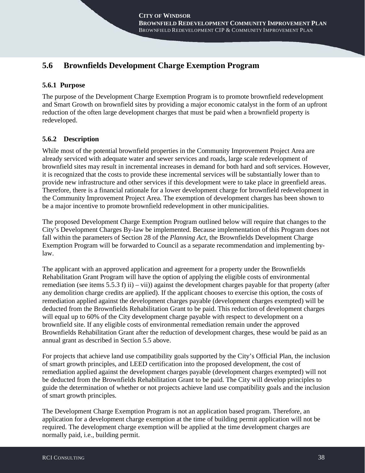# **5.6 Brownfields Development Charge Exemption Program**

## **5.6.1 Purpose**

The purpose of the Development Charge Exemption Program is to promote brownfield redevelopment and Smart Growth on brownfield sites by providing a major economic catalyst in the form of an upfront reduction of the often large development charges that must be paid when a brownfield property is redeveloped.

## **5.6.2 Description**

While most of the potential brownfield properties in the Community Improvement Project Area are already serviced with adequate water and sewer services and roads, large scale redevelopment of brownfield sites may result in incremental increases in demand for both hard and soft services. However, it is recognized that the costs to provide these incremental services will be substantially lower than to provide new infrastructure and other services if this development were to take place in greenfield areas. Therefore, there is a financial rationale for a lower development charge for brownfield redevelopment in the Community Improvement Project Area. The exemption of development charges has been shown to be a major incentive to promote brownfield redevelopment in other municipalities.

The proposed Development Charge Exemption Program outlined below will require that changes to the City's Development Charges By-law be implemented. Because implementation of this Program does not fall within the parameters of Section 28 of the *Planning Act,* the Brownfields Development Charge Exemption Program will be forwarded to Council as a separate recommendation and implementing bylaw.

The applicant with an approved application and agreement for a property under the Brownfields Rehabilitation Grant Program will have the option of applying the eligible costs of environmental remediation (see items 5.5.3 f) ii) – vii)) against the development charges payable for that property (after any demolition charge credits are applied). If the applicant chooses to exercise this option, the costs of remediation applied against the development charges payable (development charges exempted) will be deducted from the Brownfields Rehabilitation Grant to be paid. This reduction of development charges will equal up to 60% of the City development charge payable with respect to development on a brownfield site. If any eligible costs of environmental remediation remain under the approved Brownfields Rehabilitation Grant after the reduction of development charges, these would be paid as an annual grant as described in Section 5.5 above.

For projects that achieve land use compatibility goals supported by the City's Official Plan, the inclusion of smart growth principles, and LEED certification into the proposed development, the cost of remediation applied against the development charges payable (development charges exempted) will not be deducted from the Brownfields Rehabilitation Grant to be paid. The City will develop principles to guide the determination of whether or not projects achieve land use compatibility goals and the inclusion of smart growth principles.

The Development Charge Exemption Program is not an application based program. Therefore, an application for a development charge exemption at the time of building permit application will not be required. The development charge exemption will be applied at the time development charges are normally paid, i.e., building permit.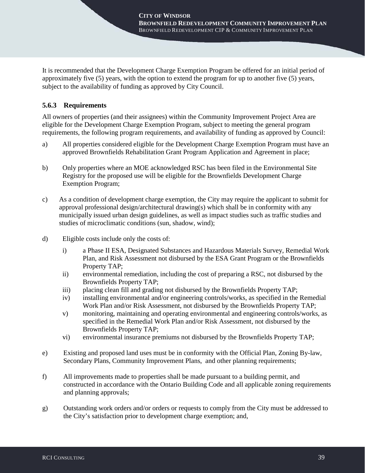It is recommended that the Development Charge Exemption Program be offered for an initial period of approximately five (5) years, with the option to extend the program for up to another five (5) years, subject to the availability of funding as approved by City Council.

## **5.6.3 Requirements**

All owners of properties (and their assignees) within the Community Improvement Project Area are eligible for the Development Charge Exemption Program, subject to meeting the general program requirements, the following program requirements, and availability of funding as approved by Council:

- a) All properties considered eligible for the Development Charge Exemption Program must have an approved Brownfields Rehabilitation Grant Program Application and Agreement in place;
- b) Only properties where an MOE acknowledged RSC has been filed in the Environmental Site Registry for the proposed use will be eligible for the Brownfields Development Charge Exemption Program;
- c) As a condition of development charge exemption, the City may require the applicant to submit for approval professional design/architectural drawing(s) which shall be in conformity with any municipally issued urban design guidelines, as well as impact studies such as traffic studies and studies of microclimatic conditions (sun, shadow, wind);
- d) Eligible costs include only the costs of:
	- i) a Phase II ESA, Designated Substances and Hazardous Materials Survey, Remedial Work Plan, and Risk Assessment not disbursed by the ESA Grant Program or the Brownfields Property TAP;
	- ii) environmental remediation, including the cost of preparing a RSC, not disbursed by the Brownfields Property TAP;
	- iii) placing clean fill and grading not disbursed by the Brownfields Property TAP;
	- iv) installing environmental and/or engineering controls/works, as specified in the Remedial Work Plan and/or Risk Assessment, not disbursed by the Brownfields Property TAP;
	- v) monitoring, maintaining and operating environmental and engineering controls/works, as specified in the Remedial Work Plan and/or Risk Assessment, not disbursed by the Brownfields Property TAP;
	- vi) environmental insurance premiums not disbursed by the Brownfields Property TAP;
- e) Existing and proposed land uses must be in conformity with the Official Plan, Zoning By-law, Secondary Plans, Community Improvement Plans, and other planning requirements;
- f) All improvements made to properties shall be made pursuant to a building permit, and constructed in accordance with the Ontario Building Code and all applicable zoning requirements and planning approvals;
- g) Outstanding work orders and/or orders or requests to comply from the City must be addressed to the City's satisfaction prior to development charge exemption; and,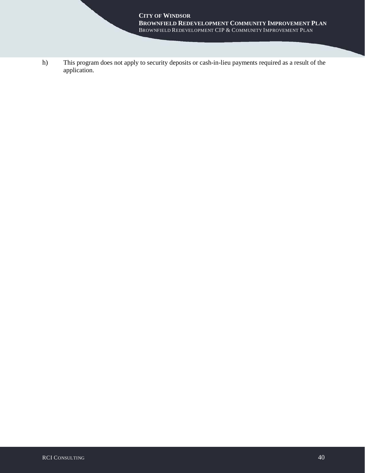h) This program does not apply to security deposits or cash-in-lieu payments required as a result of the application.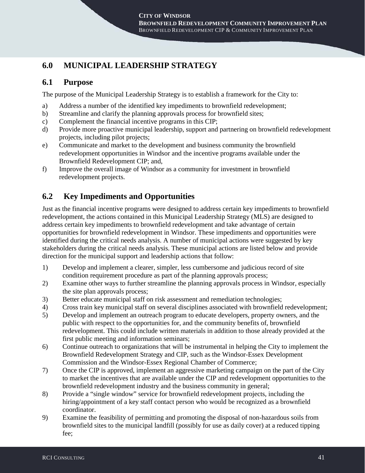# **6.0 MUNICIPAL LEADERSHIP STRATEGY**

## **6.1 Purpose**

The purpose of the Municipal Leadership Strategy is to establish a framework for the City to:

- a) Address a number of the identified key impediments to brownfield redevelopment;
- b) Streamline and clarify the planning approvals process for brownfield sites;
- c) Complement the financial incentive programs in this CIP;
- d) Provide more proactive municipal leadership, support and partnering on brownfield redevelopment projects, including pilot projects;
- e) Communicate and market to the development and business community the brownfield redevelopment opportunities in Windsor and the incentive programs available under the Brownfield Redevelopment CIP; and,
- f) Improve the overall image of Windsor as a community for investment in brownfield redevelopment projects.

# **6.2 Key Impediments and Opportunities**

Just as the financial incentive programs were designed to address certain key impediments to brownfield redevelopment, the actions contained in this Municipal Leadership Strategy (MLS) are designed to address certain key impediments to brownfield redevelopment and take advantage of certain opportunities for brownfield redevelopment in Windsor. These impediments and opportunities were identified during the critical needs analysis. A number of municipal actions were suggested by key stakeholders during the critical needs analysis. These municipal actions are listed below and provide direction for the municipal support and leadership actions that follow:

- 1) Develop and implement a clearer, simpler, less cumbersome and judicious record of site condition requirement procedure as part of the planning approvals process;
- 2) Examine other ways to further streamline the planning approvals process in Windsor, especially the site plan approvals process;
- 3) Better educate municipal staff on risk assessment and remediation technologies;
- 4) Cross train key municipal staff on several disciplines associated with brownfield redevelopment;
- 5) Develop and implement an outreach program to educate developers, property owners, and the public with respect to the opportunities for, and the community benefits of, brownfield redevelopment. This could include written materials in addition to those already provided at the first public meeting and information seminars;
- 6) Continue outreach to organizations that will be instrumental in helping the City to implement the Brownfield Redevelopment Strategy and CIP, such as the Windsor-Essex Development Commission and the Windsor-Essex Regional Chamber of Commerce;
- 7) Once the CIP is approved, implement an aggressive marketing campaign on the part of the City to market the incentives that are available under the CIP and redevelopment opportunities to the brownfield redevelopment industry and the business community in general;
- 8) Provide a "single window" service for brownfield redevelopment projects, including the hiring/appointment of a key staff contact person who would be recognized as a brownfield coordinator.
- 9) Examine the feasibility of permitting and promoting the disposal of non-hazardous soils from brownfield sites to the municipal landfill (possibly for use as daily cover) at a reduced tipping fee;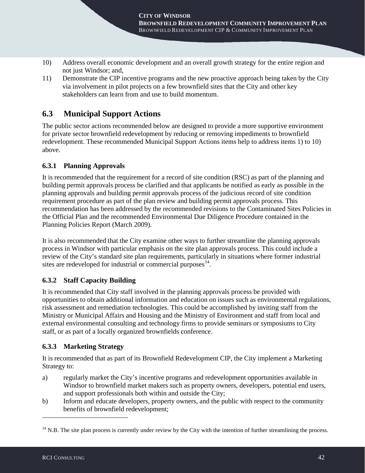- 10) Address overall economic development and an overall growth strategy for the entire region and not just Windsor; and,
- 11) Demonstrate the CIP incentive programs and the new proactive approach being taken by the City via involvement in pilot projects on a few brownfield sites that the City and other key stakeholders can learn from and use to build momentum.

# **6.3 Municipal Support Actions**

The public sector actions recommended below are designed to provide a more supportive environment for private sector brownfield redevelopment by reducing or removing impediments to brownfield redevelopment. These recommended Municipal Support Actions items help to address items 1) to 10) above.

## **6.3.1 Planning Approvals**

It is recommended that the requirement for a record of site condition (RSC) as part of the planning and building permit approvals process be clarified and that applicants be notified as early as possible in the planning approvals and building permit approvals process of the judicious record of site condition requirement procedure as part of the plan review and building permit approvals process. This recommendation has been addressed by the recommended revisions to the Contaminated Sites Policies in the Official Plan and the recommended Environmental Due Diligence Procedure contained in the Planning Policies Report (March 2009).

It is also recommended that the City examine other ways to further streamline the planning approvals process in Windsor with particular emphasis on the site plan approvals process. This could include a review of the City's standard site plan requirements, particularly in situations where former industrial sites are redeveloped for industrial or commercial purposes $^{14}$  $^{14}$  $^{14}$ .

## **6.3.2 Staff Capacity Building**

It is recommended that City staff involved in the planning approvals process be provided with opportunities to obtain additional information and education on issues such as environmental regulations, risk assessment and remediation technologies. This could be accomplished by inviting staff from the Ministry or Municipal Affairs and Housing and the Ministry of Environment and staff from local and external environmental consulting and technology firms to provide seminars or symposiums to City staff, or as part of a locally organized brownfields conference.

## **6.3.3 Marketing Strategy**

It is recommended that as part of its Brownfield Redevelopment CIP, the City implement a Marketing Strategy to:

- a) regularly market the City's incentive programs and redevelopment opportunities available in Windsor to brownfield market makers such as property owners, developers, potential end users, and support professionals both within and outside the City;
- b) Inform and educate developers, property owners, and the public with respect to the community benefits of brownfield redevelopment;

-

<span id="page-46-0"></span> $14$  N.B. The site plan process is currently under review by the City with the intention of further streamlining the process.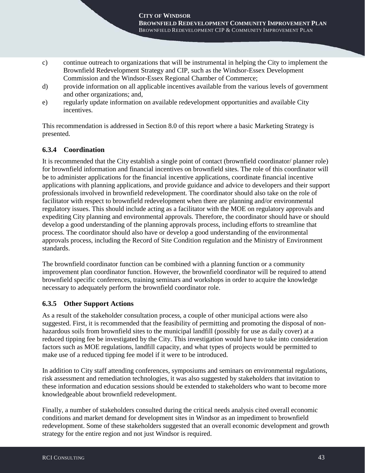- c) continue outreach to organizations that will be instrumental in helping the City to implement the Brownfield Redevelopment Strategy and CIP, such as the Windsor-Essex Development Commission and the Windsor-Essex Regional Chamber of Commerce;
- d) provide information on all applicable incentives available from the various levels of government and other organizations; and,
- e) regularly update information on available redevelopment opportunities and available City incentives.

This recommendation is addressed in Section 8.0 of this report where a basic Marketing Strategy is presented.

## **6.3.4 Coordination**

It is recommended that the City establish a single point of contact (brownfield coordinator/ planner role) for brownfield information and financial incentives on brownfield sites. The role of this coordinator will be to administer applications for the financial incentive applications, coordinate financial incentive applications with planning applications, and provide guidance and advice to developers and their support professionals involved in brownfield redevelopment. The coordinator should also take on the role of facilitator with respect to brownfield redevelopment when there are planning and/or environmental regulatory issues. This should include acting as a facilitator with the MOE on regulatory approvals and expediting City planning and environmental approvals. Therefore, the coordinator should have or should develop a good understanding of the planning approvals process, including efforts to streamline that process. The coordinator should also have or develop a good understanding of the environmental approvals process, including the Record of Site Condition regulation and the Ministry of Environment standards.

The brownfield coordinator function can be combined with a planning function or a community improvement plan coordinator function. However, the brownfield coordinator will be required to attend brownfield specific conferences, training seminars and workshops in order to acquire the knowledge necessary to adequately perform the brownfield coordinator role.

### **6.3.5 Other Support Actions**

As a result of the stakeholder consultation process, a couple of other municipal actions were also suggested. First, it is recommended that the feasibility of permitting and promoting the disposal of nonhazardous soils from brownfield sites to the municipal landfill (possibly for use as daily cover) at a reduced tipping fee be investigated by the City. This investigation would have to take into consideration factors such as MOE regulations, landfill capacity, and what types of projects would be permitted to make use of a reduced tipping fee model if it were to be introduced.

In addition to City staff attending conferences, symposiums and seminars on environmental regulations, risk assessment and remediation technologies, it was also suggested by stakeholders that invitation to these information and education sessions should be extended to stakeholders who want to become more knowledgeable about brownfield redevelopment.

Finally, a number of stakeholders consulted during the critical needs analysis cited overall economic conditions and market demand for development sites in Windsor as an impediment to brownfield redevelopment. Some of these stakeholders suggested that an overall economic development and growth strategy for the entire region and not just Windsor is required.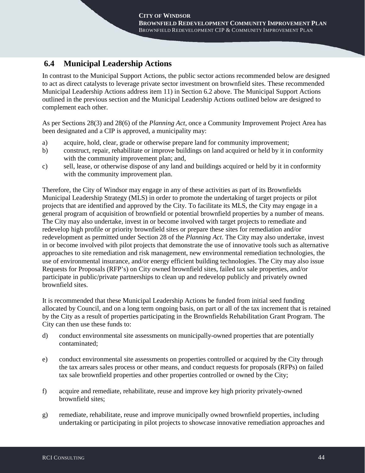# **6.4 Municipal Leadership Actions**

In contrast to the Municipal Support Actions, the public sector actions recommended below are designed to act as direct catalysts to leverage private sector investment on brownfield sites. These recommended Municipal Leadership Actions address item 11) in Section 6.2 above. The Municipal Support Actions outlined in the previous section and the Municipal Leadership Actions outlined below are designed to complement each other.

As per Sections 28(3) and 28(6) of the *Planning Act*, once a Community Improvement Project Area has been designated and a CIP is approved, a municipality may:

- a) acquire, hold, clear, grade or otherwise prepare land for community improvement;
- b) construct, repair, rehabilitate or improve buildings on land acquired or held by it in conformity with the community improvement plan; and,
- c) sell, lease, or otherwise dispose of any land and buildings acquired or held by it in conformity with the community improvement plan.

Therefore, the City of Windsor may engage in any of these activities as part of its Brownfields Municipal Leadership Strategy (MLS) in order to promote the undertaking of target projects or pilot projects that are identified and approved by the City. To facilitate its MLS, the City may engage in a general program of acquisition of brownfield or potential brownfield properties by a number of means. The City may also undertake, invest in or become involved with target projects to remediate and redevelop high profile or priority brownfield sites or prepare these sites for remediation and/or redevelopment as permitted under Section 28 of the *Planning Act*. The City may also undertake, invest in or become involved with pilot projects that demonstrate the use of innovative tools such as alternative approaches to site remediation and risk management, new environmental remediation technologies, the use of environmental insurance, and/or energy efficient building technologies. The City may also issue Requests for Proposals (RFP's) on City owned brownfield sites, failed tax sale properties, and/or participate in public/private partnerships to clean up and redevelop publicly and privately owned **brownfield** sites

It is recommended that these Municipal Leadership Actions be funded from initial seed funding allocated by Council, and on a long term ongoing basis, on part or all of the tax increment that is retained by the City as a result of properties participating in the Brownfields Rehabilitation Grant Program. The City can then use these funds to:

- d) conduct environmental site assessments on municipally-owned properties that are potentially contaminated;
- e) conduct environmental site assessments on properties controlled or acquired by the City through the tax arrears sales process or other means, and conduct requests for proposals (RFPs) on failed tax sale brownfield properties and other properties controlled or owned by the City;
- f) acquire and remediate, rehabilitate, reuse and improve key high priority privately-owned brownfield sites;
- g) remediate, rehabilitate, reuse and improve municipally owned brownfield properties, including undertaking or participating in pilot projects to showcase innovative remediation approaches and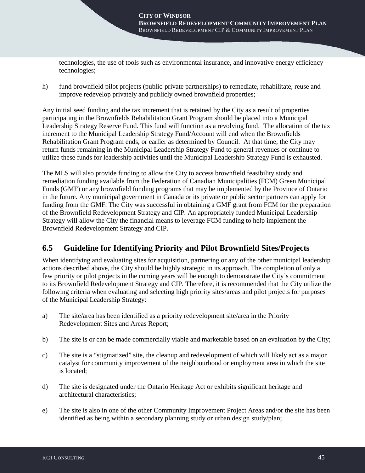technologies, the use of tools such as environmental insurance, and innovative energy efficiency technologies;

h) fund brownfield pilot projects (public-private partnerships) to remediate, rehabilitate, reuse and improve redevelop privately and publicly owned brownfield properties;

Any initial seed funding and the tax increment that is retained by the City as a result of properties participating in the Brownfields Rehabilitation Grant Program should be placed into a Municipal Leadership Strategy Reserve Fund. This fund will function as a revolving fund. The allocation of the tax increment to the Municipal Leadership Strategy Fund/Account will end when the Brownfields Rehabilitation Grant Program ends, or earlier as determined by Council. At that time, the City may return funds remaining in the Municipal Leadership Strategy Fund to general revenues or continue to utilize these funds for leadership activities until the Municipal Leadership Strategy Fund is exhausted.

The MLS will also provide funding to allow the City to access brownfield feasibility study and remediation funding available from the Federation of Canadian Municipalities (FCM) Green Municipal Funds (GMF) or any brownfield funding programs that may be implemented by the Province of Ontario in the future. Any municipal government in Canada or its private or public sector partners can apply for funding from the GMF. The City was successful in obtaining a GMF grant from FCM for the preparation of the Brownfield Redevelopment Strategy and CIP. An appropriately funded Municipal Leadership Strategy will allow the City the financial means to leverage FCM funding to help implement the Brownfield Redevelopment Strategy and CIP.

# **6.5 Guideline for Identifying Priority and Pilot Brownfield Sites/Projects**

When identifying and evaluating sites for acquisition, partnering or any of the other municipal leadership actions described above, the City should be highly strategic in its approach. The completion of only a few priority or pilot projects in the coming years will be enough to demonstrate the City's commitment to its Brownfield Redevelopment Strategy and CIP. Therefore, it is recommended that the City utilize the following criteria when evaluating and selecting high priority sites/areas and pilot projects for purposes of the Municipal Leadership Strategy:

- a) The site/area has been identified as a priority redevelopment site/area in the Priority Redevelopment Sites and Areas Report;
- b) The site is or can be made commercially viable and marketable based on an evaluation by the City;
- c) The site is a "stigmatized" site, the cleanup and redevelopment of which will likely act as a major catalyst for community improvement of the neighbourhood or employment area in which the site is located;
- d) The site is designated under the Ontario Heritage Act or exhibits significant heritage and architectural characteristics;
- e) The site is also in one of the other Community Improvement Project Areas and/or the site has been identified as being within a secondary planning study or urban design study/plan;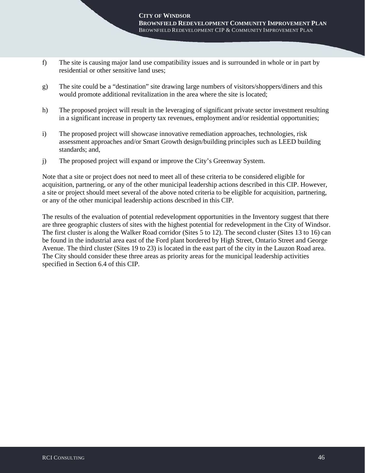- f) The site is causing major land use compatibility issues and is surrounded in whole or in part by residential or other sensitive land uses;
- g) The site could be a "destination" site drawing large numbers of visitors/shoppers/diners and this would promote additional revitalization in the area where the site is located;
- h) The proposed project will result in the leveraging of significant private sector investment resulting in a significant increase in property tax revenues, employment and/or residential opportunities;
- i) The proposed project will showcase innovative remediation approaches, technologies, risk assessment approaches and/or Smart Growth design/building principles such as LEED building standards; and,
- j) The proposed project will expand or improve the City's Greenway System.

Note that a site or project does not need to meet all of these criteria to be considered eligible for acquisition, partnering, or any of the other municipal leadership actions described in this CIP. However, a site or project should meet several of the above noted criteria to be eligible for acquisition, partnering, or any of the other municipal leadership actions described in this CIP.

The results of the evaluation of potential redevelopment opportunities in the Inventory suggest that there are three geographic clusters of sites with the highest potential for redevelopment in the City of Windsor. The first cluster is along the Walker Road corridor (Sites 5 to 12). The second cluster (Sites 13 to 16) can be found in the industrial area east of the Ford plant bordered by High Street, Ontario Street and George Avenue. The third cluster (Sites 19 to 23) is located in the east part of the city in the Lauzon Road area. The City should consider these three areas as priority areas for the municipal leadership activities specified in Section 6.4 of this CIP.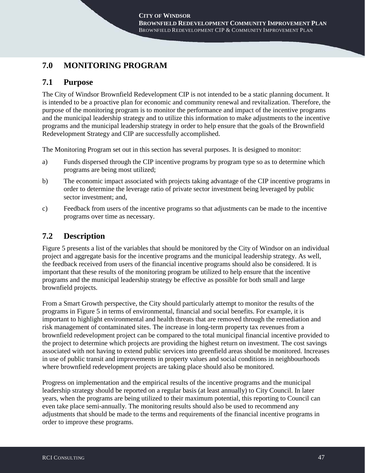# **7.0 MONITORING PROGRAM**

## **7.1 Purpose**

The City of Windsor Brownfield Redevelopment CIP is not intended to be a static planning document. It is intended to be a proactive plan for economic and community renewal and revitalization. Therefore, the purpose of the monitoring program is to monitor the performance and impact of the incentive programs and the municipal leadership strategy and to utilize this information to make adjustments to the incentive programs and the municipal leadership strategy in order to help ensure that the goals of the Brownfield Redevelopment Strategy and CIP are successfully accomplished.

The Monitoring Program set out in this section has several purposes. It is designed to monitor:

- a) Funds dispersed through the CIP incentive programs by program type so as to determine which programs are being most utilized;
- b) The economic impact associated with projects taking advantage of the CIP incentive programs in order to determine the leverage ratio of private sector investment being leveraged by public sector investment; and,
- c) Feedback from users of the incentive programs so that adjustments can be made to the incentive programs over time as necessary.

# **7.2 Description**

Figure 5 presents a list of the variables that should be monitored by the City of Windsor on an individual project and aggregate basis for the incentive programs and the municipal leadership strategy. As well, the feedback received from users of the financial incentive programs should also be considered. It is important that these results of the monitoring program be utilized to help ensure that the incentive programs and the municipal leadership strategy be effective as possible for both small and large brownfield projects.

From a Smart Growth perspective, the City should particularly attempt to monitor the results of the programs in Figure 5 in terms of environmental, financial and social benefits. For example, it is important to highlight environmental and health threats that are removed through the remediation and risk management of contaminated sites. The increase in long-term property tax revenues from a brownfield redevelopment project can be compared to the total municipal financial incentive provided to the project to determine which projects are providing the highest return on investment. The cost savings associated with not having to extend public services into greenfield areas should be monitored. Increases in use of public transit and improvements in property values and social conditions in neighbourhoods where brownfield redevelopment projects are taking place should also be monitored.

Progress on implementation and the empirical results of the incentive programs and the municipal leadership strategy should be reported on a regular basis (at least annually) to City Council. In later years, when the programs are being utilized to their maximum potential, this reporting to Council can even take place semi-annually. The monitoring results should also be used to recommend any adjustments that should be made to the terms and requirements of the financial incentive programs in order to improve these programs.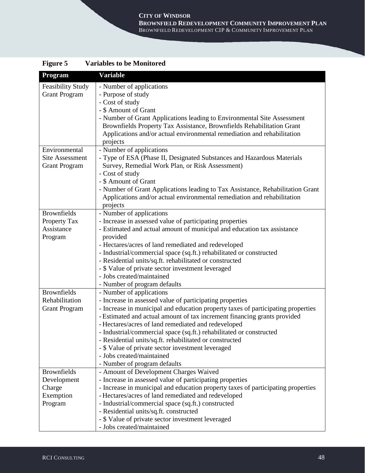#### **CITY OF WINDSOR**

**BROWNFIELD REDEVELOPMENT COMMUNITY IMPROVEMENT PLAN** BROWNFIELD REDEVELOPMENT CIP & COMMUNITY IMPROVEMENT PLAN

| Figure 5                 | <b>Variables to be Monitored</b>                                                                                           |
|--------------------------|----------------------------------------------------------------------------------------------------------------------------|
| Program                  | <b>Variable</b>                                                                                                            |
| <b>Feasibility Study</b> | - Number of applications                                                                                                   |
| <b>Grant Program</b>     | - Purpose of study<br>- Cost of study                                                                                      |
|                          | - \$ Amount of Grant                                                                                                       |
|                          | - Number of Grant Applications leading to Environmental Site Assessment                                                    |
|                          | Brownfields Property Tax Assistance, Brownfields Rehabilitation Grant                                                      |
|                          | Applications and/or actual environmental remediation and rehabilitation                                                    |
|                          | projects                                                                                                                   |
| Environmental            | - Number of applications                                                                                                   |
| <b>Site Assessment</b>   | - Type of ESA (Phase II, Designated Substances and Hazardous Materials                                                     |
| <b>Grant Program</b>     | Survey, Remedial Work Plan, or Risk Assessment)                                                                            |
|                          | - Cost of study                                                                                                            |
|                          | - \$ Amount of Grant                                                                                                       |
|                          | - Number of Grant Applications leading to Tax Assistance, Rehabilitation Grant                                             |
|                          | Applications and/or actual environmental remediation and rehabilitation                                                    |
|                          | projects                                                                                                                   |
| <b>Brownfields</b>       | - Number of applications                                                                                                   |
| Property Tax             | - Increase in assessed value of participating properties                                                                   |
| Assistance               | - Estimated and actual amount of municipal and education tax assistance                                                    |
| Program                  | provided                                                                                                                   |
|                          | - Hectares/acres of land remediated and redeveloped<br>- Industrial/commercial space (sq.ft.) rehabilitated or constructed |
|                          | - Residential units/sq.ft. rehabilitated or constructed                                                                    |
|                          | - \$ Value of private sector investment leveraged                                                                          |
|                          | - Jobs created/maintained                                                                                                  |
|                          | - Number of program defaults                                                                                               |
| <b>Brownfields</b>       | - Number of applications                                                                                                   |
| Rehabilitation           | - Increase in assessed value of participating properties                                                                   |
| <b>Grant Program</b>     | - Increase in municipal and education property taxes of participating properties                                           |
|                          | - Estimated and actual amount of tax increment financing grants provided                                                   |
|                          | - Hectares/acres of land remediated and redeveloped                                                                        |
|                          | - Industrial/commercial space (sq.ft.) rehabilitated or constructed                                                        |
|                          | - Residential units/sq.ft. rehabilitated or constructed                                                                    |
|                          | - \$ Value of private sector investment leveraged                                                                          |
|                          | - Jobs created/maintained                                                                                                  |
| <b>Brownfields</b>       | - Number of program defaults                                                                                               |
| Development              | - Amount of Development Charges Waived<br>- Increase in assessed value of participating properties                         |
| Charge                   | - Increase in municipal and education property taxes of participating properties                                           |
| Exemption                | - Hectares/acres of land remediated and redeveloped                                                                        |
| Program                  | - Industrial/commercial space (sq.ft.) constructed                                                                         |
|                          | - Residential units/sq.ft. constructed                                                                                     |
|                          | - \$ Value of private sector investment leveraged                                                                          |
|                          | - Jobs created/maintained                                                                                                  |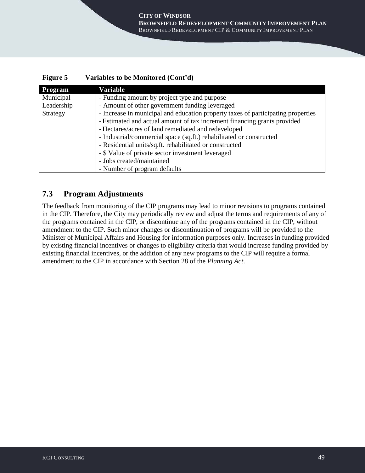### **Figure 5 Variables to be Monitored (Cont'd)**

| Program    | Variable                                                                         |  |  |  |  |  |
|------------|----------------------------------------------------------------------------------|--|--|--|--|--|
| Municipal  | - Funding amount by project type and purpose                                     |  |  |  |  |  |
| Leadership | - Amount of other government funding leveraged                                   |  |  |  |  |  |
| Strategy   | - Increase in municipal and education property taxes of participating properties |  |  |  |  |  |
|            | - Estimated and actual amount of tax increment financing grants provided         |  |  |  |  |  |
|            | - Hectares/acres of land remediated and redeveloped                              |  |  |  |  |  |
|            | - Industrial/commercial space (sq.ft.) rehabilitated or constructed              |  |  |  |  |  |
|            | - Residential units/sq.ft. rehabilitated or constructed                          |  |  |  |  |  |
|            | - \$ Value of private sector investment leveraged                                |  |  |  |  |  |
|            | - Jobs created/maintained                                                        |  |  |  |  |  |
|            | - Number of program defaults                                                     |  |  |  |  |  |

## **7.3 Program Adjustments**

The feedback from monitoring of the CIP programs may lead to minor revisions to programs contained in the CIP. Therefore, the City may periodically review and adjust the terms and requirements of any of the programs contained in the CIP, or discontinue any of the programs contained in the CIP, without amendment to the CIP. Such minor changes or discontinuation of programs will be provided to the Minister of Municipal Affairs and Housing for information purposes only. Increases in funding provided by existing financial incentives or changes to eligibility criteria that would increase funding provided by existing financial incentives, or the addition of any new programs to the CIP will require a formal amendment to the CIP in accordance with Section 28 of the *Planning Act*.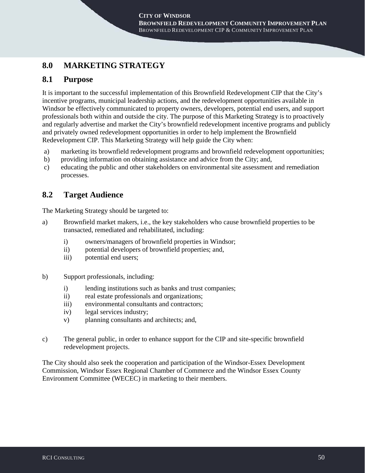# **8.0 MARKETING STRATEGY**

## **8.1 Purpose**

It is important to the successful implementation of this Brownfield Redevelopment CIP that the City's incentive programs, municipal leadership actions, and the redevelopment opportunities available in Windsor be effectively communicated to property owners, developers, potential end users, and support professionals both within and outside the city. The purpose of this Marketing Strategy is to proactively and regularly advertise and market the City's brownfield redevelopment incentive programs and publicly and privately owned redevelopment opportunities in order to help implement the Brownfield Redevelopment CIP. This Marketing Strategy will help guide the City when:

- a) marketing its brownfield redevelopment programs and brownfield redevelopment opportunities;
- b) providing information on obtaining assistance and advice from the City; and,
- c) educating the public and other stakeholders on environmental site assessment and remediation processes.

## **8.2 Target Audience**

The Marketing Strategy should be targeted to:

- a) Brownfield market makers, i.e., the key stakeholders who cause brownfield properties to be transacted, remediated and rehabilitated, including:
	- i) owners/managers of brownfield properties in Windsor;
	- ii) potential developers of brownfield properties; and,
	- iii) potential end users;
- b) Support professionals, including:
	- i) lending institutions such as banks and trust companies;
	- ii) real estate professionals and organizations;
	- iii) environmental consultants and contractors;
	- iv) legal services industry;
	- v) planning consultants and architects; and,
- c) The general public, in order to enhance support for the CIP and site-specific brownfield redevelopment projects.

The City should also seek the cooperation and participation of the Windsor-Essex Development Commission, Windsor Essex Regional Chamber of Commerce and the Windsor Essex County Environment Committee (WECEC) in marketing to their members.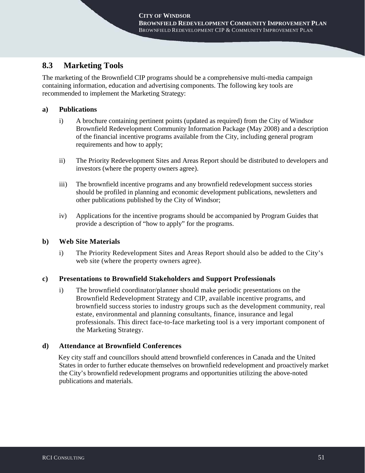## **8.3 Marketing Tools**

The marketing of the Brownfield CIP programs should be a comprehensive multi-media campaign containing information, education and advertising components. The following key tools are recommended to implement the Marketing Strategy:

## **a) Publications**

- i) A brochure containing pertinent points (updated as required) from the City of Windsor Brownfield Redevelopment Community Information Package (May 2008) and a description of the financial incentive programs available from the City, including general program requirements and how to apply;
- ii) The Priority Redevelopment Sites and Areas Report should be distributed to developers and investors (where the property owners agree).
- iii) The brownfield incentive programs and any brownfield redevelopment success stories should be profiled in planning and economic development publications, newsletters and other publications published by the City of Windsor;
- iv) Applications for the incentive programs should be accompanied by Program Guides that provide a description of "how to apply" for the programs.

### **b) Web Site Materials**

i) The Priority Redevelopment Sites and Areas Report should also be added to the City's web site (where the property owners agree).

### **c) Presentations to Brownfield Stakeholders and Support Professionals**

i) The brownfield coordinator/planner should make periodic presentations on the Brownfield Redevelopment Strategy and CIP, available incentive programs, and brownfield success stories to industry groups such as the development community, real estate, environmental and planning consultants, finance, insurance and legal professionals. This direct face-to-face marketing tool is a very important component of the Marketing Strategy.

### **d) Attendance at Brownfield Conferences**

Key city staff and councillors should attend brownfield conferences in Canada and the United States in order to further educate themselves on brownfield redevelopment and proactively market the City's brownfield redevelopment programs and opportunities utilizing the above-noted publications and materials.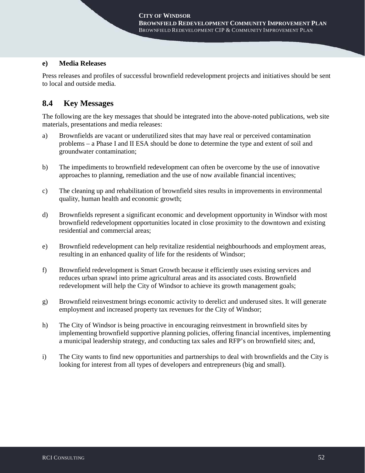#### **e) Media Releases**

Press releases and profiles of successful brownfield redevelopment projects and initiatives should be sent to local and outside media.

## **8.4 Key Messages**

The following are the key messages that should be integrated into the above-noted publications, web site materials, presentations and media releases:

- a) Brownfields are vacant or underutilized sites that may have real or perceived contamination problems – a Phase I and II ESA should be done to determine the type and extent of soil and groundwater contamination;
- b) The impediments to brownfield redevelopment can often be overcome by the use of innovative approaches to planning, remediation and the use of now available financial incentives;
- c) The cleaning up and rehabilitation of brownfield sites results in improvements in environmental quality, human health and economic growth;
- d) Brownfields represent a significant economic and development opportunity in Windsor with most brownfield redevelopment opportunities located in close proximity to the downtown and existing residential and commercial areas;
- e) Brownfield redevelopment can help revitalize residential neighbourhoods and employment areas, resulting in an enhanced quality of life for the residents of Windsor;
- f) Brownfield redevelopment is Smart Growth because it efficiently uses existing services and reduces urban sprawl into prime agricultural areas and its associated costs. Brownfield redevelopment will help the City of Windsor to achieve its growth management goals;
- g) Brownfield reinvestment brings economic activity to derelict and underused sites. It will generate employment and increased property tax revenues for the City of Windsor;
- h) The City of Windsor is being proactive in encouraging reinvestment in brownfield sites by implementing brownfield supportive planning policies, offering financial incentives, implementing a municipal leadership strategy, and conducting tax sales and RFP's on brownfield sites; and,
- i) The City wants to find new opportunities and partnerships to deal with brownfields and the City is looking for interest from all types of developers and entrepreneurs (big and small).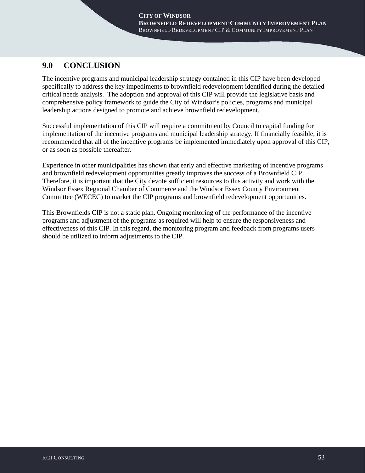# **9.0 CONCLUSION**

The incentive programs and municipal leadership strategy contained in this CIP have been developed specifically to address the key impediments to brownfield redevelopment identified during the detailed critical needs analysis. The adoption and approval of this CIP will provide the legislative basis and comprehensive policy framework to guide the City of Windsor's policies, programs and municipal leadership actions designed to promote and achieve brownfield redevelopment.

Successful implementation of this CIP will require a commitment by Council to capital funding for implementation of the incentive programs and municipal leadership strategy. If financially feasible, it is recommended that all of the incentive programs be implemented immediately upon approval of this CIP, or as soon as possible thereafter.

Experience in other municipalities has shown that early and effective marketing of incentive programs and brownfield redevelopment opportunities greatly improves the success of a Brownfield CIP. Therefore, it is important that the City devote sufficient resources to this activity and work with the Windsor Essex Regional Chamber of Commerce and the Windsor Essex County Environment Committee (WECEC) to market the CIP programs and brownfield redevelopment opportunities.

This Brownfields CIP is not a static plan. Ongoing monitoring of the performance of the incentive programs and adjustment of the programs as required will help to ensure the responsiveness and effectiveness of this CIP. In this regard, the monitoring program and feedback from programs users should be utilized to inform adjustments to the CIP.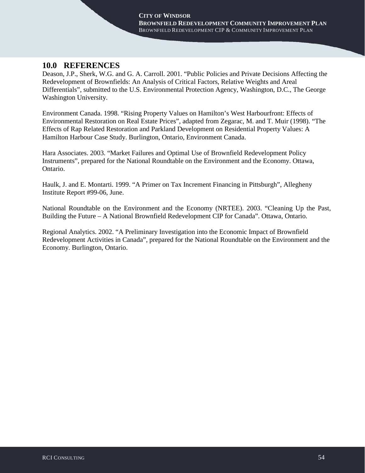## **10.0 REFERENCES**

Deason, J.P., Sherk, W.G. and G. A. Carroll. 2001. "Public Policies and Private Decisions Affecting the Redevelopment of Brownfields: An Analysis of Critical Factors, Relative Weights and Areal Differentials", submitted to the U.S. Environmental Protection Agency, Washington, D.C., The George Washington University.

Environment Canada. 1998. "Rising Property Values on Hamilton's West Harbourfront: Effects of Environmental Restoration on Real Estate Prices", adapted from Zegarac, M. and T. Muir (1998). "The Effects of Rap Related Restoration and Parkland Development on Residential Property Values: A Hamilton Harbour Case Study. Burlington, Ontario, Environment Canada.

Hara Associates. 2003. "Market Failures and Optimal Use of Brownfield Redevelopment Policy Instruments", prepared for the National Roundtable on the Environment and the Economy. Ottawa, Ontario.

Haulk, J. and E. Montarti. 1999. "A Primer on Tax Increment Financing in Pittsburgh", Allegheny Institute Report #99-06, June.

National Roundtable on the Environment and the Economy (NRTEE). 2003. "Cleaning Up the Past, Building the Future – A National Brownfield Redevelopment CIP for Canada". Ottawa, Ontario.

Regional Analytics. 2002. "A Preliminary Investigation into the Economic Impact of Brownfield Redevelopment Activities in Canada", prepared for the National Roundtable on the Environment and the Economy. Burlington, Ontario.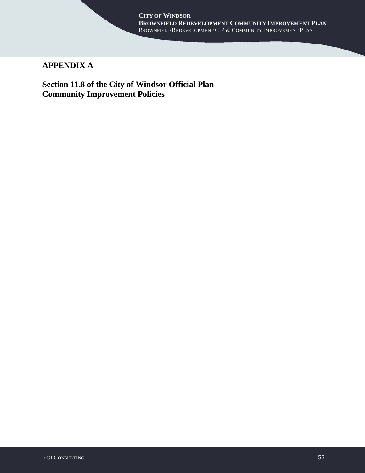#### **CITY OF WINDSOR BROWNFIELD REDEVELOPMENT COMMUNITY IMPROVEMENT PLAN** BROWNFIELD REDEVELOPMENT CIP & COMMUNITY IMPROVEMENT PLAN

# **APPENDIX A**

**Section 11.8 of the City of Windsor Official Plan Community Improvement Policies**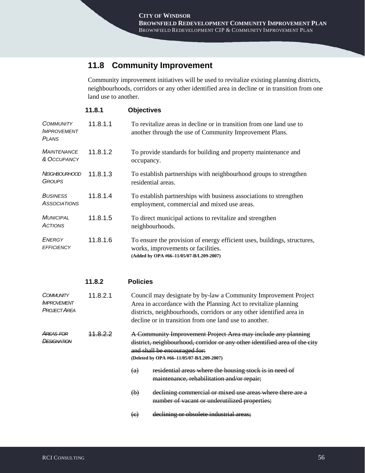# **11.8 Community Improvement**

Community improvement initiatives will be used to revitalize existing planning districts, neighbourhoods, corridors or any other identified area in decline or in transition from one land use to another.

|                                                        | 11.8.1   | <b>Objectives</b>                                                                                                                                         |
|--------------------------------------------------------|----------|-----------------------------------------------------------------------------------------------------------------------------------------------------------|
| <b>COMMUNITY</b><br><b>IMPROVEMENT</b><br><b>PLANS</b> | 11.8.1.1 | To revitalize areas in decline or in transition from one land use to<br>another through the use of Community Improvement Plans.                           |
| <b>MAINTENANCE</b><br>& OCCUPANCY                      | 11.8.1.2 | To provide standards for building and property maintenance and<br>occupancy.                                                                              |
| <i>NEIGHBOURHOOD</i><br><b>GROUPS</b>                  | 11.8.1.3 | To establish partnerships with neighbourhood groups to strengthen<br>residential areas.                                                                   |
| <b>BUSINESS</b><br><b>ASSOCIATIONS</b>                 | 11.8.1.4 | To establish partnerships with business associations to strengthen<br>employment, commercial and mixed use areas.                                         |
| <b>MUNICIPAL</b><br><b>ACTIONS</b>                     | 11.8.1.5 | To direct municipal actions to revitalize and strengthen<br>neighbourhoods.                                                                               |
| <b>ENERGY</b><br><b>EFFICIENCY</b>                     | 11.8.1.6 | To ensure the provision of energy efficient uses, buildings, structures,<br>works, improvements or facilities.<br>(Added by OPA #66-11/05/07-B/L209-2007) |

|                                                               | 11.8.2   | <b>Policies</b>                                                                                                                                                                                                                                                      |  |  |
|---------------------------------------------------------------|----------|----------------------------------------------------------------------------------------------------------------------------------------------------------------------------------------------------------------------------------------------------------------------|--|--|
| <b>COMMUNITY</b><br><b>IMPROVEMENT</b><br><b>PROJECT AREA</b> | 11.8.2.1 | Council may designate by by-law a Community Improvement Project<br>Area in accordance with the Planning Act to revitalize planning<br>districts, neighbourhoods, corridors or any other identified area in<br>decline or in transition from one land use to another. |  |  |
| AREAS FOR<br><b>IFSIGNATION</b>                               |          | A Community Improvement Project Area may include any planning<br>district, neighbourhood, corridor or any other identified area of the city<br>and shall be encouraged for:<br>(Deleted by OPA #66-11/05/07-B/L209-2007)                                             |  |  |
|                                                               |          | residential areas where the housing stock is in need of<br>$\left( a\right)$<br>maintenance, rehabilitation and/or repair;                                                                                                                                           |  |  |
|                                                               |          | declining commercial or mixed use areas where there are a<br>$\left(\mathbf{b}\right)$<br>number of vacant or underutilized properties;                                                                                                                              |  |  |
|                                                               |          | declining or obsolete industrial areas;<br>$\left( \mathrm{e}\right)$                                                                                                                                                                                                |  |  |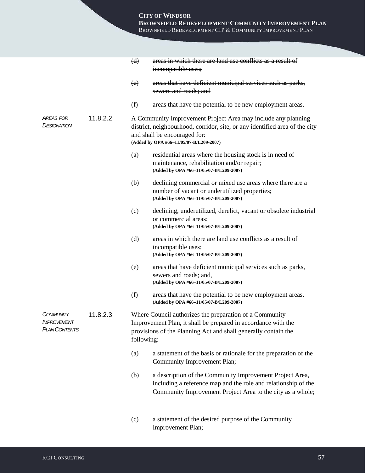## **CITY OF WINDSOR**

**BROWNFIELD REDEVELOPMENT COMMUNITY IMPROVEMENT PLAN** BROWNFIELD REDEVELOPMENT CIP & COMMUNITY IMPROVEMENT PLAN

|                                                                |          | (d)                                                                                                                                                                                                                     | areas in which there are land use conflicts as a result of<br>incompatible uses;                                                                                                         |  |  |
|----------------------------------------------------------------|----------|-------------------------------------------------------------------------------------------------------------------------------------------------------------------------------------------------------------------------|------------------------------------------------------------------------------------------------------------------------------------------------------------------------------------------|--|--|
|                                                                |          | (e)                                                                                                                                                                                                                     | areas that have deficient municipal services such as parks,<br>sewers and roads; and                                                                                                     |  |  |
|                                                                |          | $\bigoplus$                                                                                                                                                                                                             | areas that have the potential to be new employment areas.                                                                                                                                |  |  |
| AREAS FOR<br><b>DESIGNATION</b>                                | 11.8.2.2 | A Community Improvement Project Area may include any planning<br>district, neighbourhood, corridor, site, or any identified area of the city<br>and shall be encouraged for:<br>(Added by OPA #66-11/05/07-B/L209-2007) |                                                                                                                                                                                          |  |  |
|                                                                |          | (a)                                                                                                                                                                                                                     | residential areas where the housing stock is in need of<br>maintenance, rehabilitation and/or repair;<br>(Added by OPA #66-11/05/07-B/L209-2007)                                         |  |  |
|                                                                |          | (b)                                                                                                                                                                                                                     | declining commercial or mixed use areas where there are a<br>number of vacant or underutilized properties;<br>(Added by OPA #66-11/05/07-B/L209-2007)                                    |  |  |
|                                                                |          | (c)                                                                                                                                                                                                                     | declining, underutilized, derelict, vacant or obsolete industrial<br>or commercial areas;<br>(Added by OPA #66-11/05/07-B/L209-2007)                                                     |  |  |
|                                                                |          | (d)                                                                                                                                                                                                                     | areas in which there are land use conflicts as a result of<br>incompatible uses;<br>(Added by OPA #66-11/05/07-B/L209-2007)                                                              |  |  |
|                                                                |          | (e)                                                                                                                                                                                                                     | areas that have deficient municipal services such as parks,<br>sewers and roads; and,<br>(Added by OPA #66-11/05/07-B/L209-2007)                                                         |  |  |
|                                                                |          | (f)                                                                                                                                                                                                                     | areas that have the potential to be new employment areas.<br>(Added by OPA #66-11/05/07-B/L209-2007)                                                                                     |  |  |
| <b>COMMUNITY</b><br><b>IMPROVEMENT</b><br><b>PLAN CONTENTS</b> | 11.8.2.3 | Where Council authorizes the preparation of a Community<br>Improvement Plan, it shall be prepared in accordance with the<br>provisions of the Planning Act and shall generally contain the<br>following:                |                                                                                                                                                                                          |  |  |
|                                                                |          | (a)                                                                                                                                                                                                                     | a statement of the basis or rationale for the preparation of the<br>Community Improvement Plan;                                                                                          |  |  |
|                                                                |          | (b)                                                                                                                                                                                                                     | a description of the Community Improvement Project Area,<br>including a reference map and the role and relationship of the<br>Community Improvement Project Area to the city as a whole; |  |  |
|                                                                |          | (c)                                                                                                                                                                                                                     | a statement of the desired purpose of the Community                                                                                                                                      |  |  |

Improvement Plan;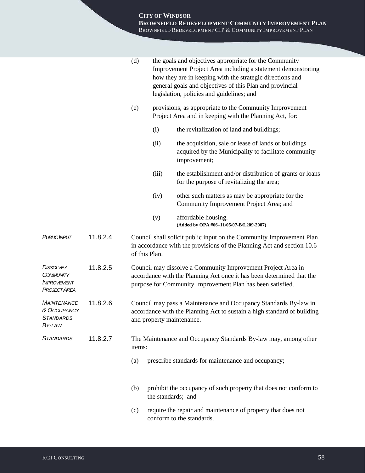|                                                                                   |          | (d)                                                                                                                                                                                                 |                    | the goals and objectives appropriate for the Community<br>Improvement Project Area including a statement demonstrating<br>how they are in keeping with the strategic directions and<br>general goals and objectives of this Plan and provincial<br>legislation, policies and guidelines; and |
|-----------------------------------------------------------------------------------|----------|-----------------------------------------------------------------------------------------------------------------------------------------------------------------------------------------------------|--------------------|----------------------------------------------------------------------------------------------------------------------------------------------------------------------------------------------------------------------------------------------------------------------------------------------|
|                                                                                   |          | (e)                                                                                                                                                                                                 |                    | provisions, as appropriate to the Community Improvement<br>Project Area and in keeping with the Planning Act, for:                                                                                                                                                                           |
|                                                                                   |          |                                                                                                                                                                                                     | (i)                | the revitalization of land and buildings;                                                                                                                                                                                                                                                    |
|                                                                                   |          |                                                                                                                                                                                                     | (ii)               | the acquisition, sale or lease of lands or buildings<br>acquired by the Municipality to facilitate community<br>improvement;                                                                                                                                                                 |
|                                                                                   |          |                                                                                                                                                                                                     | (iii)              | the establishment and/or distribution of grants or loans<br>for the purpose of revitalizing the area;                                                                                                                                                                                        |
|                                                                                   |          |                                                                                                                                                                                                     | (iv)               | other such matters as may be appropriate for the<br>Community Improvement Project Area; and                                                                                                                                                                                                  |
|                                                                                   |          |                                                                                                                                                                                                     | (v)                | affordable housing.<br>(Added by OPA #66-11/05/07-B/L209-2007)                                                                                                                                                                                                                               |
| <b>PUBLIC INPUT</b>                                                               | 11.8.2.4 | of this Plan.                                                                                                                                                                                       |                    | Council shall solicit public input on the Community Improvement Plan<br>in accordance with the provisions of the Planning Act and section 10.6                                                                                                                                               |
| <b>DISSOLVEA</b><br><b>COMMUNITY</b><br><b>IMPROVEMENT</b><br><b>PROJECT AREA</b> | 11.8.2.5 | Council may dissolve a Community Improvement Project Area in<br>accordance with the Planning Act once it has been determined that the<br>purpose for Community Improvement Plan has been satisfied. |                    |                                                                                                                                                                                                                                                                                              |
| <b>MAINTENANCE</b><br>& OCCUPANCY<br><b>STANDARDS</b><br>BY-LAW                   | 11.8.2.6 | Council may pass a Maintenance and Occupancy Standards By-law in<br>accordance with the Planning Act to sustain a high standard of building<br>and property maintenance.                            |                    |                                                                                                                                                                                                                                                                                              |
| <b>STANDARDS</b>                                                                  | 11.8.2.7 | items:                                                                                                                                                                                              |                    | The Maintenance and Occupancy Standards By-law may, among other                                                                                                                                                                                                                              |
|                                                                                   |          | (a)                                                                                                                                                                                                 |                    | prescribe standards for maintenance and occupancy;                                                                                                                                                                                                                                           |
|                                                                                   |          | (b)                                                                                                                                                                                                 | the standards; and | prohibit the occupancy of such property that does not conform to                                                                                                                                                                                                                             |
|                                                                                   |          | (c)                                                                                                                                                                                                 |                    | require the repair and maintenance of property that does not<br>conform to the standards.                                                                                                                                                                                                    |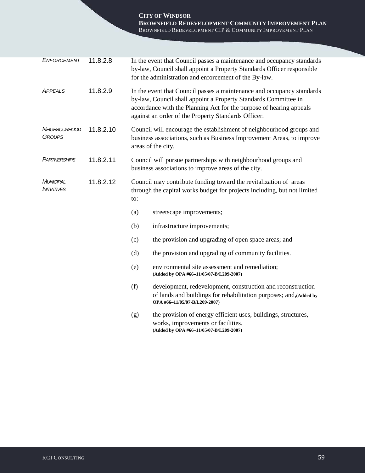**CITY OF WINDSOR BROWNFIELD REDEVELOPMENT COMMUNITY IMPROVEMENT PLAN** BROWNFIELD REDEVELOPMENT CIP & COMMUNITY IMPROVEMENT PLAN

| <b>ENFORCEMENT</b>                    | 11.8.2.8  | In the event that Council passes a maintenance and occupancy standards<br>by-law, Council shall appoint a Property Standards Officer responsible<br>for the administration and enforcement of the By-law.                                                               |                                                                                                                                                                    |  |
|---------------------------------------|-----------|-------------------------------------------------------------------------------------------------------------------------------------------------------------------------------------------------------------------------------------------------------------------------|--------------------------------------------------------------------------------------------------------------------------------------------------------------------|--|
| <b>APPEALS</b>                        | 11.8.2.9  | In the event that Council passes a maintenance and occupancy standards<br>by-law, Council shall appoint a Property Standards Committee in<br>accordance with the Planning Act for the purpose of hearing appeals<br>against an order of the Property Standards Officer. |                                                                                                                                                                    |  |
| <i>NEIGHBOURHOOD</i><br><b>GROUPS</b> | 11.8.2.10 | Council will encourage the establishment of neighbourhood groups and<br>business associations, such as Business Improvement Areas, to improve<br>areas of the city.                                                                                                     |                                                                                                                                                                    |  |
| PARTNERSHIPS                          | 11.8.2.11 | Council will pursue partnerships with neighbourhood groups and<br>business associations to improve areas of the city.                                                                                                                                                   |                                                                                                                                                                    |  |
| MUNICIPAL<br><b>INITIATIVES</b>       | 11.8.2.12 | Council may contribute funding toward the revitalization of areas<br>through the capital works budget for projects including, but not limited<br>to:                                                                                                                    |                                                                                                                                                                    |  |
|                                       |           | (a)                                                                                                                                                                                                                                                                     | streetscape improvements;                                                                                                                                          |  |
|                                       |           | (b)                                                                                                                                                                                                                                                                     | infrastructure improvements;                                                                                                                                       |  |
|                                       |           | (c)                                                                                                                                                                                                                                                                     | the provision and upgrading of open space areas; and                                                                                                               |  |
|                                       |           | (d)                                                                                                                                                                                                                                                                     | the provision and upgrading of community facilities.                                                                                                               |  |
|                                       |           | (e)                                                                                                                                                                                                                                                                     | environmental site assessment and remediation;<br>(Added by OPA #66-11/05/07-B/L209-2007)                                                                          |  |
|                                       |           | (f)                                                                                                                                                                                                                                                                     | development, redevelopment, construction and reconstruction<br>of lands and buildings for rehabilitation purposes; and, (Added by<br>OPA #66-11/05/07-B/L209-2007) |  |
|                                       |           | (g)                                                                                                                                                                                                                                                                     | the provision of energy efficient uses, buildings, structures,<br>works, improvements or facilities.<br>(Added by OPA #66-11/05/07-B/L209-2007)                    |  |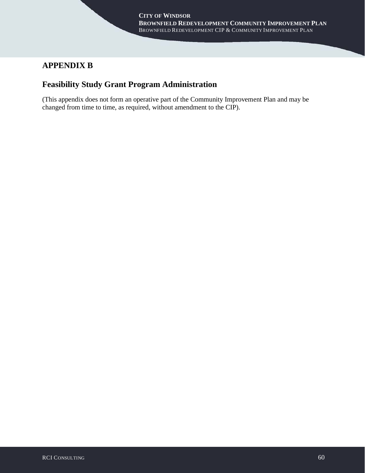# **APPENDIX B**

# **Feasibility Study Grant Program Administration**

(This appendix does not form an operative part of the Community Improvement Plan and may be changed from time to time, as required, without amendment to the CIP).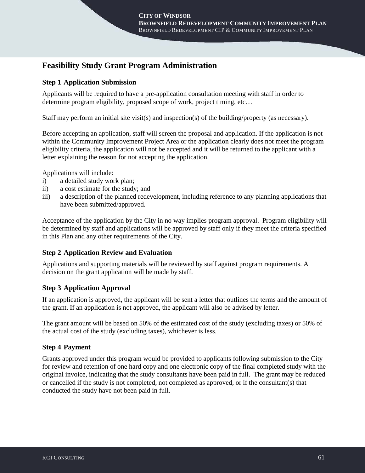# **Feasibility Study Grant Program Administration**

## **Step 1 Application Submission**

Applicants will be required to have a pre-application consultation meeting with staff in order to determine program eligibility, proposed scope of work, project timing, etc…

Staff may perform an initial site visit(s) and inspection(s) of the building/property (as necessary).

Before accepting an application, staff will screen the proposal and application. If the application is not within the Community Improvement Project Area or the application clearly does not meet the program eligibility criteria, the application will not be accepted and it will be returned to the applicant with a letter explaining the reason for not accepting the application.

Applications will include:

- i) a detailed study work plan;
- ii) a cost estimate for the study; and
- iii) a description of the planned redevelopment, including reference to any planning applications that have been submitted/approved.

Acceptance of the application by the City in no way implies program approval. Program eligibility will be determined by staff and applications will be approved by staff only if they meet the criteria specified in this Plan and any other requirements of the City.

### **Step 2 Application Review and Evaluation**

Applications and supporting materials will be reviewed by staff against program requirements. A decision on the grant application will be made by staff.

## **Step 3 Application Approval**

If an application is approved, the applicant will be sent a letter that outlines the terms and the amount of the grant. If an application is not approved, the applicant will also be advised by letter.

The grant amount will be based on 50% of the estimated cost of the study (excluding taxes) or 50% of the actual cost of the study (excluding taxes), whichever is less.

## **Step 4 Payment**

Grants approved under this program would be provided to applicants following submission to the City for review and retention of one hard copy and one electronic copy of the final completed study with the original invoice, indicating that the study consultants have been paid in full. The grant may be reduced or cancelled if the study is not completed, not completed as approved, or if the consultant(s) that conducted the study have not been paid in full.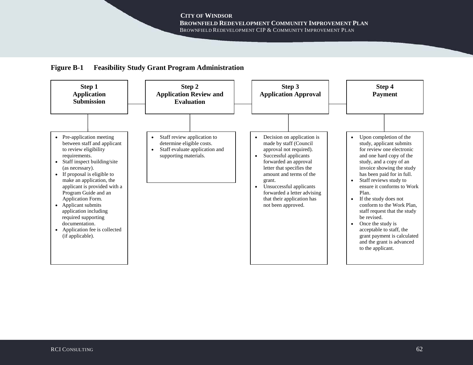## **Figure B-1 Feasibility Study Grant Program Administration**

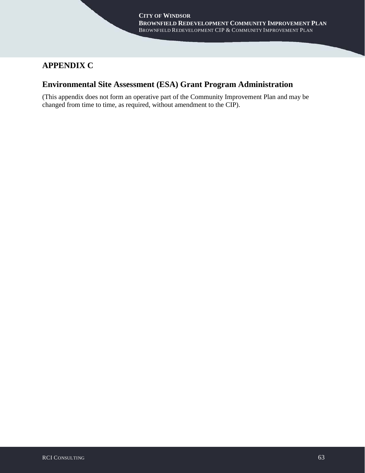# **APPENDIX C**

# **Environmental Site Assessment (ESA) Grant Program Administration**

(This appendix does not form an operative part of the Community Improvement Plan and may be changed from time to time, as required, without amendment to the CIP).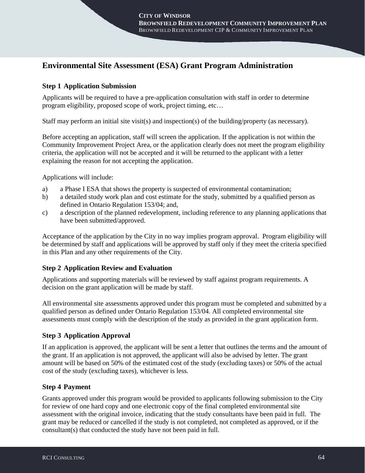# **Environmental Site Assessment (ESA) Grant Program Administration**

## **Step 1 Application Submission**

Applicants will be required to have a pre-application consultation with staff in order to determine program eligibility, proposed scope of work, project timing, etc…

Staff may perform an initial site visit(s) and inspection(s) of the building/property (as necessary).

Before accepting an application, staff will screen the application. If the application is not within the Community Improvement Project Area, or the application clearly does not meet the program eligibility criteria, the application will not be accepted and it will be returned to the applicant with a letter explaining the reason for not accepting the application.

Applications will include:

- a) a Phase I ESA that shows the property is suspected of environmental contamination;
- b) a detailed study work plan and cost estimate for the study, submitted by a qualified person as defined in Ontario Regulation 153/04; and,
- c) a description of the planned redevelopment, including reference to any planning applications that have been submitted/approved.

Acceptance of the application by the City in no way implies program approval. Program eligibility will be determined by staff and applications will be approved by staff only if they meet the criteria specified in this Plan and any other requirements of the City.

### **Step 2 Application Review and Evaluation**

Applications and supporting materials will be reviewed by staff against program requirements. A decision on the grant application will be made by staff.

All environmental site assessments approved under this program must be completed and submitted by a qualified person as defined under Ontario Regulation 153/04. All completed environmental site assessments must comply with the description of the study as provided in the grant application form.

## **Step 3 Application Approval**

If an application is approved, the applicant will be sent a letter that outlines the terms and the amount of the grant. If an application is not approved, the applicant will also be advised by letter. The grant amount will be based on 50% of the estimated cost of the study (excluding taxes) or 50% of the actual cost of the study (excluding taxes), whichever is less.

### **Step 4 Payment**

Grants approved under this program would be provided to applicants following submission to the City for review of one hard copy and one electronic copy of the final completed environmental site assessment with the original invoice, indicating that the study consultants have been paid in full. The grant may be reduced or cancelled if the study is not completed, not completed as approved, or if the consultant(s) that conducted the study have not been paid in full.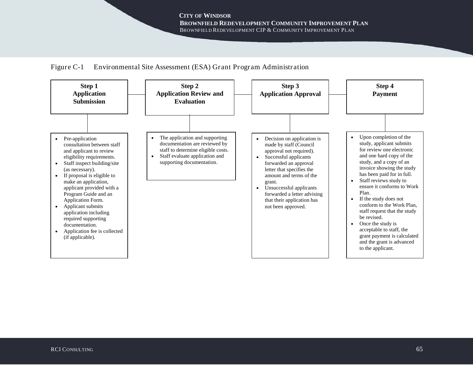

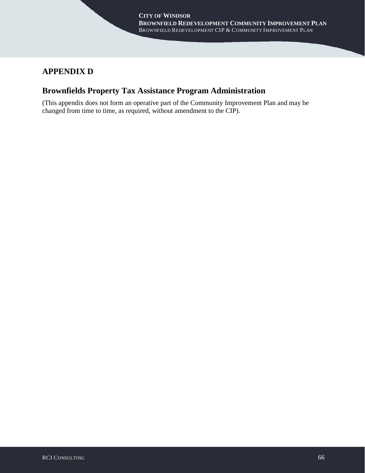# **APPENDIX D**

# **Brownfields Property Tax Assistance Program Administration**

(This appendix does not form an operative part of the Community Improvement Plan and may be changed from time to time, as required, without amendment to the CIP).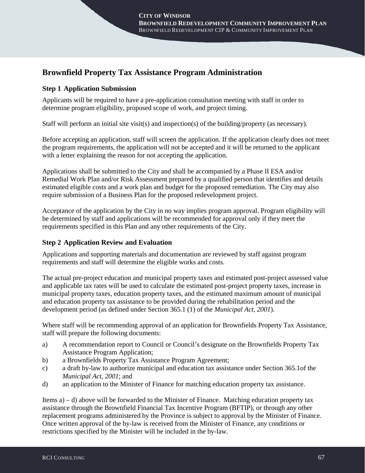# **Brownfield Property Tax Assistance Program Administration**

## **Step 1 Application Submission**

Applicants will be required to have a pre-application consultation meeting with staff in order to determine program eligibility, proposed scope of work, and project timing.

Staff will perform an initial site visit(s) and inspection(s) of the building/property (as necessary).

Before accepting an application, staff will screen the application. If the application clearly does not meet the program requirements, the application will not be accepted and it will be returned to the applicant with a letter explaining the reason for not accepting the application.

Applications shall be submitted to the City and shall be accompanied by a Phase II ESA and/or Remedial Work Plan and/or Risk Assessment prepared by a qualified person that identifies and details estimated eligible costs and a work plan and budget for the proposed remediation. The City may also require submission of a Business Plan for the proposed redevelopment project.

Acceptance of the application by the City in no way implies program approval. Program eligibility will be determined by staff and applications will be recommended for approval only if they meet the requirements specified in this Plan and any other requirements of the City.

## **Step 2 Application Review and Evaluation**

Applications and supporting materials and documentation are reviewed by staff against program requirements and staff will determine the eligible works and costs.

The actual pre-project education and municipal property taxes and estimated post-project assessed value and applicable tax rates will be used to calculate the estimated post-project property taxes, increase in municipal property taxes, education property taxes, and the estimated maximum amount of municipal and education property tax assistance to be provided during the rehabilitation period and the development period (as defined under Section 365.1 (1) of the *Municipal Act, 2001*).

Where staff will be recommending approval of an application for Brownfields Property Tax Assistance, staff will prepare the following documents:

- a) A recommendation report to Council or Council's designate on the Brownfields Property Tax Assistance Program Application;
- b) a Brownfields Property Tax Assistance Program Agreement;
- c) a draft by-law to authorize municipal and education tax assistance under Section 365.1of the *Municipal Act, 2001*; and
- d) an application to the Minister of Finance for matching education property tax assistance.

Items a) – d) above will be forwarded to the Minister of Finance. Matching education property tax assistance through the Brownfield Financial Tax Incentive Program (BFTIP), or through any other replacement programs administered by the Province is subject to approval by the Minister of Finance. Once written approval of the by-law is received from the Minister of Finance, any conditions or restrictions specified by the Minister will be included in the by-law.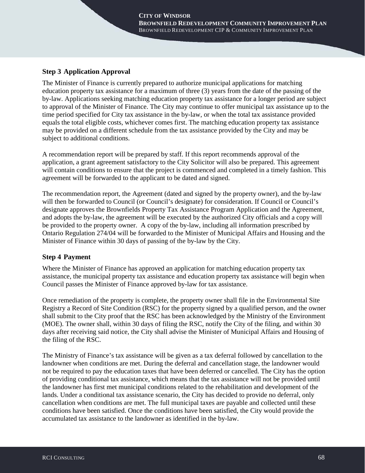### **Step 3 Application Approval**

The Minister of Finance is currently prepared to authorize municipal applications for matching education property tax assistance for a maximum of three (3) years from the date of the passing of the by-law. Applications seeking matching education property tax assistance for a longer period are subject to approval of the Minister of Finance. The City may continue to offer municipal tax assistance up to the time period specified for City tax assistance in the by-law, or when the total tax assistance provided equals the total eligible costs, whichever comes first. The matching education property tax assistance may be provided on a different schedule from the tax assistance provided by the City and may be subject to additional conditions.

A recommendation report will be prepared by staff. If this report recommends approval of the application, a grant agreement satisfactory to the City Solicitor will also be prepared. This agreement will contain conditions to ensure that the project is commenced and completed in a timely fashion. This agreement will be forwarded to the applicant to be dated and signed.

The recommendation report, the Agreement (dated and signed by the property owner), and the by-law will then be forwarded to Council (or Council's designate) for consideration. If Council or Council's designate approves the Brownfields Property Tax Assistance Program Application and the Agreement, and adopts the by-law, the agreement will be executed by the authorized City officials and a copy will be provided to the property owner. A copy of the by-law, including all information prescribed by Ontario Regulation 274/04 will be forwarded to the Minister of Municipal Affairs and Housing and the Minister of Finance within 30 days of passing of the by-law by the City.

### **Step 4 Payment**

Where the Minister of Finance has approved an application for matching education property tax assistance, the municipal property tax assistance and education property tax assistance will begin when Council passes the Minister of Finance approved by-law for tax assistance.

Once remediation of the property is complete, the property owner shall file in the Environmental Site Registry a Record of Site Condition (RSC) for the property signed by a qualified person, and the owner shall submit to the City proof that the RSC has been acknowledged by the Ministry of the Environment (MOE). The owner shall, within 30 days of filing the RSC, notify the City of the filing, and within 30 days after receiving said notice, the City shall advise the Minister of Municipal Affairs and Housing of the filing of the RSC.

The Ministry of Finance's tax assistance will be given as a tax deferral followed by cancellation to the landowner when conditions are met. During the deferral and cancellation stage, the landowner would not be required to pay the education taxes that have been deferred or cancelled. The City has the option of providing conditional tax assistance, which means that the tax assistance will not be provided until the landowner has first met municipal conditions related to the rehabilitation and development of the lands. Under a conditional tax assistance scenario, the City has decided to provide no deferral, only cancellation when conditions are met. The full municipal taxes are payable and collected until these conditions have been satisfied. Once the conditions have been satisfied, the City would provide the accumulated tax assistance to the landowner as identified in the by-law.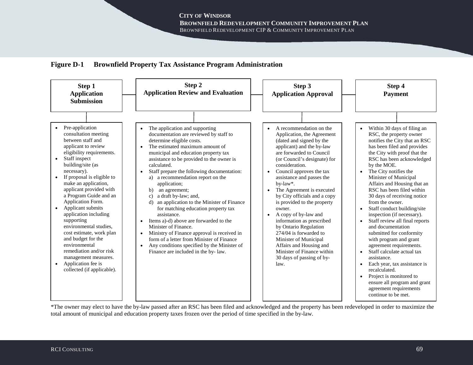



\*The owner may elect to have the by-law passed after an RSC has been filed and acknowledged and the property has been redeveloped in order to maximize the total amount of municipal and education property taxes frozen over the period of time specified in the by-law.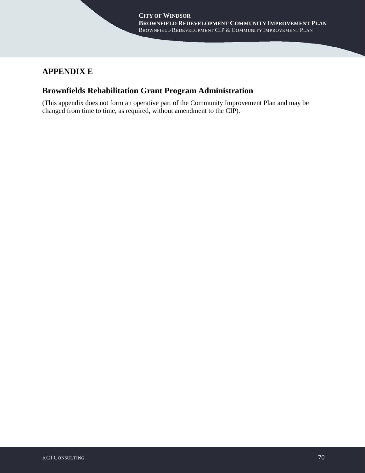# **APPENDIX E**

# **Brownfields Rehabilitation Grant Program Administration**

(This appendix does not form an operative part of the Community Improvement Plan and may be changed from time to time, as required, without amendment to the CIP).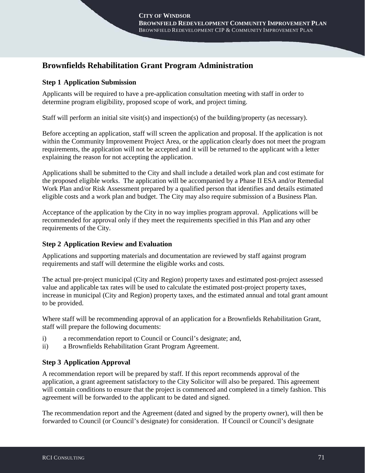## **Brownfields Rehabilitation Grant Program Administration**

### **Step 1 Application Submission**

Applicants will be required to have a pre-application consultation meeting with staff in order to determine program eligibility, proposed scope of work, and project timing.

Staff will perform an initial site visit(s) and inspection(s) of the building/property (as necessary).

Before accepting an application, staff will screen the application and proposal. If the application is not within the Community Improvement Project Area, or the application clearly does not meet the program requirements, the application will not be accepted and it will be returned to the applicant with a letter explaining the reason for not accepting the application.

Applications shall be submitted to the City and shall include a detailed work plan and cost estimate for the proposed eligible works. The application will be accompanied by a Phase II ESA and/or Remedial Work Plan and/or Risk Assessment prepared by a qualified person that identifies and details estimated eligible costs and a work plan and budget. The City may also require submission of a Business Plan.

Acceptance of the application by the City in no way implies program approval. Applications will be recommended for approval only if they meet the requirements specified in this Plan and any other requirements of the City.

### **Step 2 Application Review and Evaluation**

Applications and supporting materials and documentation are reviewed by staff against program requirements and staff will determine the eligible works and costs.

The actual pre-project municipal (City and Region) property taxes and estimated post-project assessed value and applicable tax rates will be used to calculate the estimated post-project property taxes, increase in municipal (City and Region) property taxes, and the estimated annual and total grant amount to be provided.

Where staff will be recommending approval of an application for a Brownfields Rehabilitation Grant, staff will prepare the following documents:

- i) a recommendation report to Council or Council's designate; and,
- ii) a Brownfields Rehabilitation Grant Program Agreement.

### **Step 3 Application Approval**

A recommendation report will be prepared by staff. If this report recommends approval of the application, a grant agreement satisfactory to the City Solicitor will also be prepared. This agreement will contain conditions to ensure that the project is commenced and completed in a timely fashion. This agreement will be forwarded to the applicant to be dated and signed.

The recommendation report and the Agreement (dated and signed by the property owner), will then be forwarded to Council (or Council's designate) for consideration. If Council or Council's designate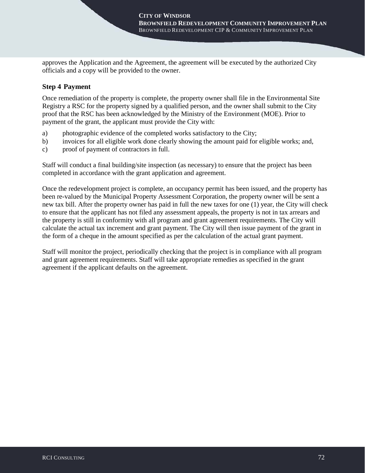approves the Application and the Agreement, the agreement will be executed by the authorized City officials and a copy will be provided to the owner.

#### **Step 4 Payment**

Once remediation of the property is complete, the property owner shall file in the Environmental Site Registry a RSC for the property signed by a qualified person, and the owner shall submit to the City proof that the RSC has been acknowledged by the Ministry of the Environment (MOE). Prior to payment of the grant, the applicant must provide the City with:

- a) photographic evidence of the completed works satisfactory to the City;
- b) invoices for all eligible work done clearly showing the amount paid for eligible works; and,
- c) proof of payment of contractors in full.

Staff will conduct a final building/site inspection (as necessary) to ensure that the project has been completed in accordance with the grant application and agreement.

Once the redevelopment project is complete, an occupancy permit has been issued, and the property has been re-valued by the Municipal Property Assessment Corporation, the property owner will be sent a new tax bill. After the property owner has paid in full the new taxes for one (1) year, the City will check to ensure that the applicant has not filed any assessment appeals, the property is not in tax arrears and the property is still in conformity with all program and grant agreement requirements. The City will calculate the actual tax increment and grant payment. The City will then issue payment of the grant in the form of a cheque in the amount specified as per the calculation of the actual grant payment.

Staff will monitor the project, periodically checking that the project is in compliance with all program and grant agreement requirements. Staff will take appropriate remedies as specified in the grant agreement if the applicant defaults on the agreement.